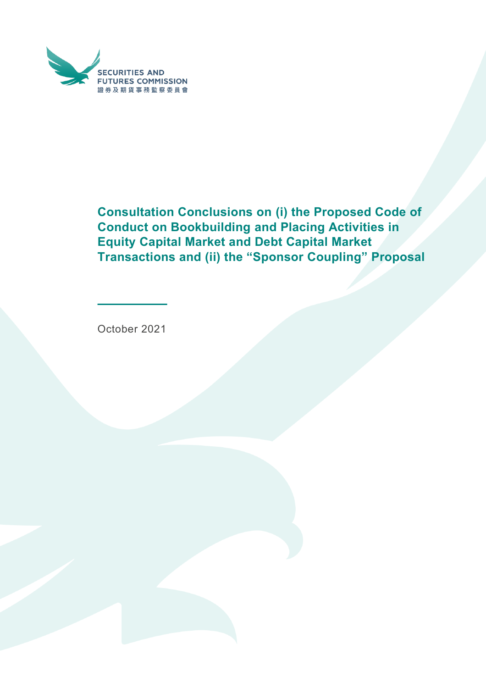

**Consultation Conclusions on (i) the Proposed Code of Conduct on Bookbuilding and Placing Activities in Equity Capital Market and Debt Capital Market Transactions and (ii) the "Sponsor Coupling" Proposal**

October 2021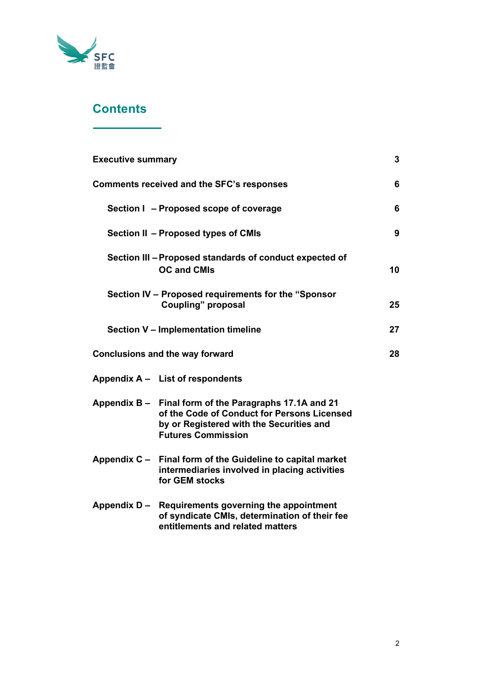

# **Contents**

| <b>Executive summary</b>               |                                                                                                                                                                                | 3  |
|----------------------------------------|--------------------------------------------------------------------------------------------------------------------------------------------------------------------------------|----|
|                                        | <b>Comments received and the SFC's responses</b>                                                                                                                               | 6  |
|                                        | Section I - Proposed scope of coverage                                                                                                                                         | 6  |
|                                        | Section II - Proposed types of CMIs                                                                                                                                            | 9  |
|                                        | Section III - Proposed standards of conduct expected of<br><b>OC and CMIs</b>                                                                                                  | 10 |
|                                        | Section IV - Proposed requirements for the "Sponsor<br><b>Coupling" proposal</b>                                                                                               | 25 |
|                                        | Section V - Implementation timeline                                                                                                                                            | 27 |
| <b>Conclusions and the way forward</b> |                                                                                                                                                                                | 28 |
|                                        | Appendix A - List of respondents                                                                                                                                               |    |
|                                        | Appendix B – Final form of the Paragraphs 17.1A and 21<br>of the Code of Conduct for Persons Licensed<br>by or Registered with the Securities and<br><b>Futures Commission</b> |    |
|                                        | Appendix C - Final form of the Guideline to capital market<br>intermediaries involved in placing activities<br>for GEM stocks                                                  |    |
|                                        | Appendix D - Requirements governing the appointment<br>of syndicate CMIs, determination of their fee<br>entitlements and related matters                                       |    |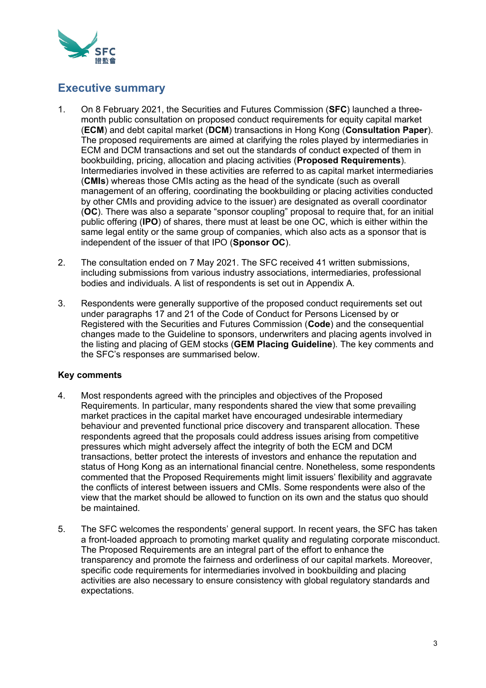

# **Executive summary**

- 1. On 8 February 2021, the Securities and Futures Commission (**SFC**) launched a threemonth public consultation on proposed conduct requirements for equity capital market (**ECM**) and debt capital market (**DCM**) transactions in Hong Kong (**Consultation Paper**). The proposed requirements are aimed at clarifying the roles played by intermediaries in ECM and DCM transactions and set out the standards of conduct expected of them in bookbuilding, pricing, allocation and placing activities (**Proposed Requirements**). Intermediaries involved in these activities are referred to as capital market intermediaries (**CMIs**) whereas those CMIs acting as the head of the syndicate (such as overall management of an offering, coordinating the bookbuilding or placing activities conducted by other CMIs and providing advice to the issuer) are designated as overall coordinator (**OC**). There was also a separate "sponsor coupling" proposal to require that, for an initial public offering (**IPO**) of shares, there must at least be one OC, which is either within the same legal entity or the same group of companies, which also acts as a sponsor that is independent of the issuer of that IPO (**Sponsor OC**).
- 2. The consultation ended on 7 May 2021. The SFC received 41 written submissions, including submissions from various industry associations, intermediaries, professional bodies and individuals. A list of respondents is set out in Appendix A.
- 3. Respondents were generally supportive of the proposed conduct requirements set out under paragraphs 17 and 21 of the Code of Conduct for Persons Licensed by or Registered with the Securities and Futures Commission (**Code**) and the consequential changes made to the Guideline to sponsors, underwriters and placing agents involved in the listing and placing of GEM stocks (**GEM Placing Guideline**). The key comments and the SFC's responses are summarised below.

# **Key comments**

- 4. Most respondents agreed with the principles and objectives of the Proposed Requirements. In particular, many respondents shared the view that some prevailing market practices in the capital market have encouraged undesirable intermediary behaviour and prevented functional price discovery and transparent allocation. These respondents agreed that the proposals could address issues arising from competitive pressures which might adversely affect the integrity of both the ECM and DCM transactions, better protect the interests of investors and enhance the reputation and status of Hong Kong as an international financial centre. Nonetheless, some respondents commented that the Proposed Requirements might limit issuers' flexibility and aggravate the conflicts of interest between issuers and CMIs. Some respondents were also of the view that the market should be allowed to function on its own and the status quo should be maintained.
- 5. The SFC welcomes the respondents' general support. In recent years, the SFC has taken a front-loaded approach to promoting market quality and regulating corporate misconduct. The Proposed Requirements are an integral part of the effort to enhance the transparency and promote the fairness and orderliness of our capital markets. Moreover, specific code requirements for intermediaries involved in bookbuilding and placing activities are also necessary to ensure consistency with global regulatory standards and expectations.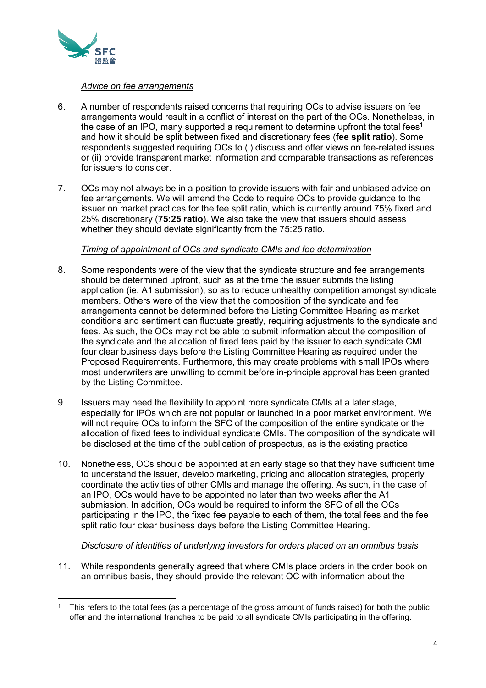

### *Advice on fee arrangements*

- 6. A number of respondents raised concerns that requiring OCs to advise issuers on fee arrangements would result in a conflict of interest on the part of the OCs. Nonetheless, in the case of an IPO, many supported a requirement to determine upfront the total fees $^{\rm 1}$ and how it should be split between fixed and discretionary fees (**fee split ratio**). Some respondents suggested requiring OCs to (i) discuss and offer views on fee-related issues or (ii) provide transparent market information and comparable transactions as references for issuers to consider.
- 7. OCs may not always be in a position to provide issuers with fair and unbiased advice on fee arrangements. We will amend the Code to require OCs to provide guidance to the issuer on market practices for the fee split ratio, which is currently around 75% fixed and 25% discretionary (**75:25 ratio**). We also take the view that issuers should assess whether they should deviate significantly from the 75:25 ratio.

#### *Timing of appointment of OCs and syndicate CMIs and fee determination*

- 8. Some respondents were of the view that the syndicate structure and fee arrangements should be determined upfront, such as at the time the issuer submits the listing application (ie, A1 submission), so as to reduce unhealthy competition amongst syndicate members. Others were of the view that the composition of the syndicate and fee arrangements cannot be determined before the Listing Committee Hearing as market conditions and sentiment can fluctuate greatly, requiring adjustments to the syndicate and fees. As such, the OCs may not be able to submit information about the composition of the syndicate and the allocation of fixed fees paid by the issuer to each syndicate CMI four clear business days before the Listing Committee Hearing as required under the Proposed Requirements. Furthermore, this may create problems with small IPOs where most underwriters are unwilling to commit before in-principle approval has been granted by the Listing Committee.
- 9. Issuers may need the flexibility to appoint more syndicate CMIs at a later stage, especially for IPOs which are not popular or launched in a poor market environment. We will not require OCs to inform the SFC of the composition of the entire syndicate or the allocation of fixed fees to individual syndicate CMIs. The composition of the syndicate will be disclosed at the time of the publication of prospectus, as is the existing practice.
- 10. Nonetheless, OCs should be appointed at an early stage so that they have sufficient time to understand the issuer, develop marketing, pricing and allocation strategies, properly coordinate the activities of other CMIs and manage the offering. As such, in the case of an IPO, OCs would have to be appointed no later than two weeks after the A1 submission. In addition, OCs would be required to inform the SFC of all the OCs participating in the IPO, the fixed fee payable to each of them, the total fees and the fee split ratio four clear business days before the Listing Committee Hearing.

#### *Disclosure of identities of underlying investors for orders placed on an omnibus basis*

11. While respondents generally agreed that where CMIs place orders in the order book on an omnibus basis, they should provide the relevant OC with information about the

<sup>1</sup> This refers to the total fees (as a percentage of the gross amount of funds raised) for both the public offer and the international tranches to be paid to all syndicate CMIs participating in the offering.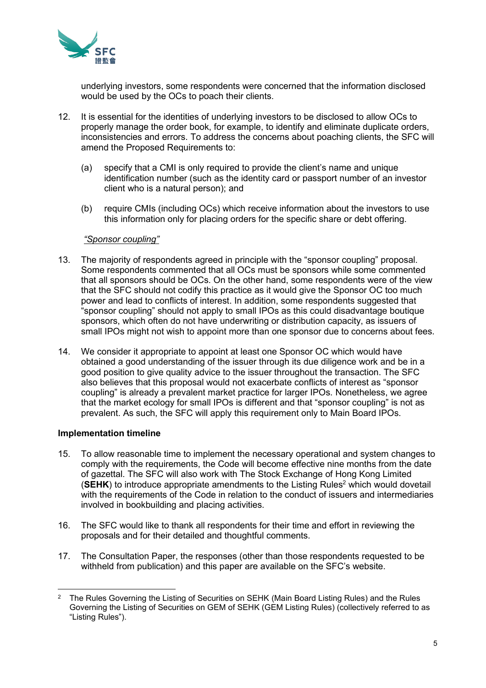

underlying investors, some respondents were concerned that the information disclosed would be used by the OCs to poach their clients.

- 12. It is essential for the identities of underlying investors to be disclosed to allow OCs to properly manage the order book, for example, to identify and eliminate duplicate orders, inconsistencies and errors. To address the concerns about poaching clients, the SFC will amend the Proposed Requirements to:
	- (a) specify that a CMI is only required to provide the client's name and unique identification number (such as the identity card or passport number of an investor client who is a natural person); and
	- (b) require CMIs (including OCs) which receive information about the investors to use this information only for placing orders for the specific share or debt offering.

# *"Sponsor coupling"*

- 13. The majority of respondents agreed in principle with the "sponsor coupling" proposal. Some respondents commented that all OCs must be sponsors while some commented that all sponsors should be OCs. On the other hand, some respondents were of the view that the SFC should not codify this practice as it would give the Sponsor OC too much power and lead to conflicts of interest. In addition, some respondents suggested that "sponsor coupling" should not apply to small IPOs as this could disadvantage boutique sponsors, which often do not have underwriting or distribution capacity, as issuers of small IPOs might not wish to appoint more than one sponsor due to concerns about fees.
- 14. We consider it appropriate to appoint at least one Sponsor OC which would have obtained a good understanding of the issuer through its due diligence work and be in a good position to give quality advice to the issuer throughout the transaction. The SFC also believes that this proposal would not exacerbate conflicts of interest as "sponsor coupling" is already a prevalent market practice for larger IPOs. Nonetheless, we agree that the market ecology for small IPOs is different and that "sponsor coupling" is not as prevalent. As such, the SFC will apply this requirement only to Main Board IPOs.

#### **Implementation timeline**

- 15. To allow reasonable time to implement the necessary operational and system changes to comply with the requirements, the Code will become effective nine months from the date of gazettal. The SFC will also work with The Stock Exchange of Hong Kong Limited **(SEHK)** to introduce appropriate amendments to the Listing Rules<sup>2</sup> which would dovetail with the requirements of the Code in relation to the conduct of issuers and intermediaries involved in bookbuilding and placing activities.
- 16. The SFC would like to thank all respondents for their time and effort in reviewing the proposals and for their detailed and thoughtful comments.
- 17. The Consultation Paper, the responses (other than those respondents requested to be withheld from publication) and this paper are available on the SFC's website.

<sup>2</sup> The Rules Governing the Listing of Securities on SEHK (Main Board Listing Rules) and the Rules Governing the Listing of Securities on GEM of SEHK (GEM Listing Rules) (collectively referred to as "Listing Rules").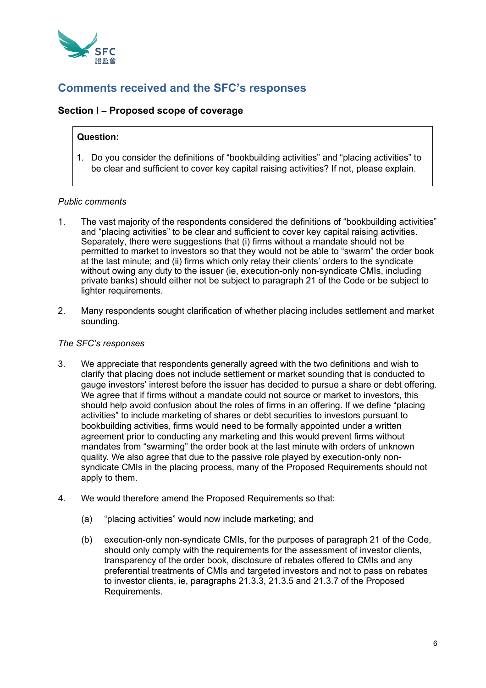

# **Comments received and the SFC's responses**

# **Section I – Proposed scope of coverage**

# **Question:**

1. Do you consider the definitions of "bookbuilding activities" and "placing activities" to be clear and sufficient to cover key capital raising activities? If not, please explain.

# *Public comments*

- 1. The vast majority of the respondents considered the definitions of "bookbuilding activities" and "placing activities" to be clear and sufficient to cover key capital raising activities. Separately, there were suggestions that (i) firms without a mandate should not be permitted to market to investors so that they would not be able to "swarm" the order book at the last minute; and (ii) firms which only relay their clients' orders to the syndicate without owing any duty to the issuer (ie, execution-only non-syndicate CMIs, including private banks) should either not be subject to paragraph 21 of the Code or be subject to lighter requirements.
- 2. Many respondents sought clarification of whether placing includes settlement and market sounding.

### *The SFC's responses*

- 3. We appreciate that respondents generally agreed with the two definitions and wish to clarify that placing does not include settlement or market sounding that is conducted to gauge investors' interest before the issuer has decided to pursue a share or debt offering. We agree that if firms without a mandate could not source or market to investors, this should help avoid confusion about the roles of firms in an offering. If we define "placing activities" to include marketing of shares or debt securities to investors pursuant to bookbuilding activities, firms would need to be formally appointed under a written agreement prior to conducting any marketing and this would prevent firms without mandates from "swarming" the order book at the last minute with orders of unknown quality. We also agree that due to the passive role played by execution-only nonsyndicate CMIs in the placing process, many of the Proposed Requirements should not apply to them.
- 4. We would therefore amend the Proposed Requirements so that:
	- (a) "placing activities" would now include marketing; and
	- (b) execution-only non-syndicate CMIs, for the purposes of paragraph 21 of the Code, should only comply with the requirements for the assessment of investor clients, transparency of the order book, disclosure of rebates offered to CMIs and any preferential treatments of CMIs and targeted investors and not to pass on rebates to investor clients, ie, paragraphs 21.3.3, 21.3.5 and 21.3.7 of the Proposed Requirements.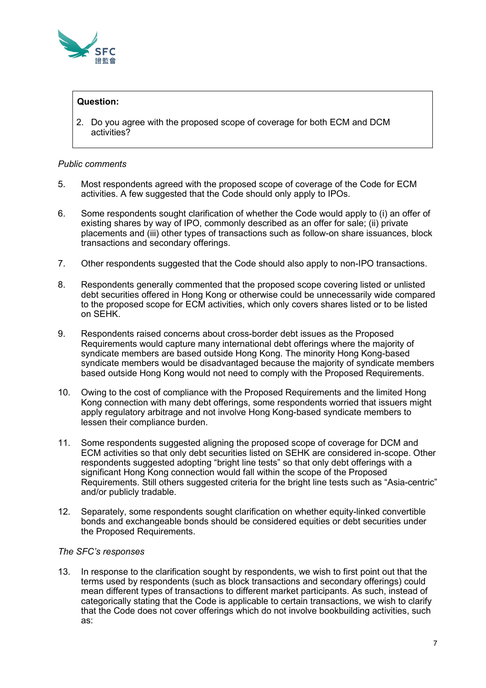

# **Question:**

2. Do you agree with the proposed scope of coverage for both ECM and DCM activities?

# *Public comments*

- 5. Most respondents agreed with the proposed scope of coverage of the Code for ECM activities. A few suggested that the Code should only apply to IPOs.
- 6. Some respondents sought clarification of whether the Code would apply to (i) an offer of existing shares by way of IPO, commonly described as an offer for sale; (ii) private placements and (iii) other types of transactions such as follow-on share issuances, block transactions and secondary offerings.
- 7. Other respondents suggested that the Code should also apply to non-IPO transactions.
- 8. Respondents generally commented that the proposed scope covering listed or unlisted debt securities offered in Hong Kong or otherwise could be unnecessarily wide compared to the proposed scope for ECM activities, which only covers shares listed or to be listed on SEHK.
- 9. Respondents raised concerns about cross-border debt issues as the Proposed Requirements would capture many international debt offerings where the majority of syndicate members are based outside Hong Kong. The minority Hong Kong-based syndicate members would be disadvantaged because the majority of syndicate members based outside Hong Kong would not need to comply with the Proposed Requirements.
- 10. Owing to the cost of compliance with the Proposed Requirements and the limited Hong Kong connection with many debt offerings, some respondents worried that issuers might apply regulatory arbitrage and not involve Hong Kong-based syndicate members to lessen their compliance burden.
- 11. Some respondents suggested aligning the proposed scope of coverage for DCM and ECM activities so that only debt securities listed on SEHK are considered in-scope. Other respondents suggested adopting "bright line tests" so that only debt offerings with a significant Hong Kong connection would fall within the scope of the Proposed Requirements. Still others suggested criteria for the bright line tests such as "Asia-centric" and/or publicly tradable.
- 12. Separately, some respondents sought clarification on whether equity-linked convertible bonds and exchangeable bonds should be considered equities or debt securities under the Proposed Requirements.

# *The SFC's responses*

13. In response to the clarification sought by respondents, we wish to first point out that the terms used by respondents (such as block transactions and secondary offerings) could mean different types of transactions to different market participants. As such, instead of categorically stating that the Code is applicable to certain transactions, we wish to clarify that the Code does not cover offerings which do not involve bookbuilding activities, such as: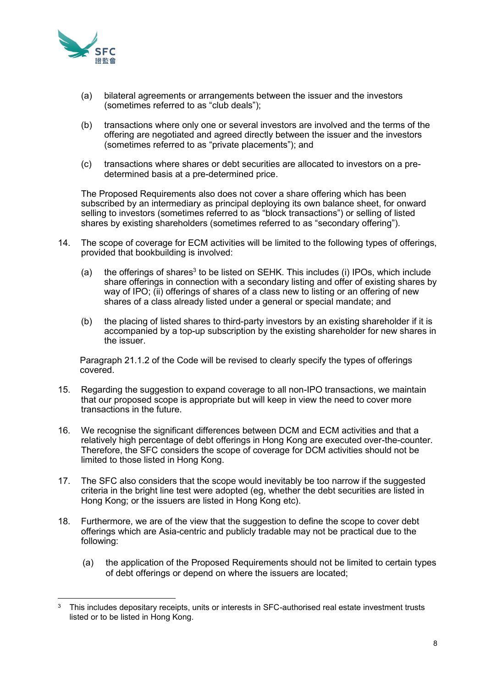

- (a) bilateral agreements or arrangements between the issuer and the investors (sometimes referred to as "club deals");
- (b) transactions where only one or several investors are involved and the terms of the offering are negotiated and agreed directly between the issuer and the investors (sometimes referred to as "private placements"); and
- (c) transactions where shares or debt securities are allocated to investors on a predetermined basis at a pre-determined price.

The Proposed Requirements also does not cover a share offering which has been subscribed by an intermediary as principal deploying its own balance sheet, for onward selling to investors (sometimes referred to as "block transactions") or selling of listed shares by existing shareholders (sometimes referred to as "secondary offering").

- 14. The scope of coverage for ECM activities will be limited to the following types of offerings, provided that bookbuilding is involved:
	- (a) the offerings of shares<sup>3</sup> to be listed on SEHK. This includes (i) IPOs, which include share offerings in connection with a secondary listing and offer of existing shares by way of IPO; (ii) offerings of shares of a class new to listing or an offering of new shares of a class already listed under a general or special mandate; and
	- (b) the placing of listed shares to third-party investors by an existing shareholder if it is accompanied by a top-up subscription by the existing shareholder for new shares in the issuer.

Paragraph 21.1.2 of the Code will be revised to clearly specify the types of offerings covered.

- 15. Regarding the suggestion to expand coverage to all non-IPO transactions, we maintain that our proposed scope is appropriate but will keep in view the need to cover more transactions in the future.
- 16. We recognise the significant differences between DCM and ECM activities and that a relatively high percentage of debt offerings in Hong Kong are executed over-the-counter. Therefore, the SFC considers the scope of coverage for DCM activities should not be limited to those listed in Hong Kong.
- 17. The SFC also considers that the scope would inevitably be too narrow if the suggested criteria in the bright line test were adopted (eg, whether the debt securities are listed in Hong Kong; or the issuers are listed in Hong Kong etc).
- 18. Furthermore, we are of the view that the suggestion to define the scope to cover debt offerings which are Asia-centric and publicly tradable may not be practical due to the following:
	- (a) the application of the Proposed Requirements should not be limited to certain types of debt offerings or depend on where the issuers are located;

 $3$  This includes depositary receipts, units or interests in SFC-authorised real estate investment trusts listed or to be listed in Hong Kong.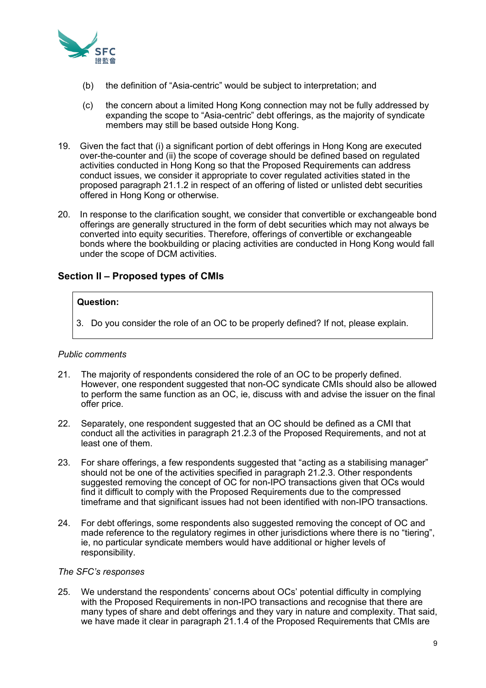

- (b) the definition of "Asia-centric" would be subject to interpretation; and
- (c) the concern about a limited Hong Kong connection may not be fully addressed by expanding the scope to "Asia-centric" debt offerings, as the majority of syndicate members may still be based outside Hong Kong.
- 19. Given the fact that (i) a significant portion of debt offerings in Hong Kong are executed over-the-counter and (ii) the scope of coverage should be defined based on regulated activities conducted in Hong Kong so that the Proposed Requirements can address conduct issues, we consider it appropriate to cover regulated activities stated in the proposed paragraph 21.1.2 in respect of an offering of listed or unlisted debt securities offered in Hong Kong or otherwise.
- 20. In response to the clarification sought, we consider that convertible or exchangeable bond offerings are generally structured in the form of debt securities which may not always be converted into equity securities. Therefore, offerings of convertible or exchangeable bonds where the bookbuilding or placing activities are conducted in Hong Kong would fall under the scope of DCM activities.

# **Section II – Proposed types of CMIs**

# **Question:**

3. Do you consider the role of an OC to be properly defined? If not, please explain.

#### *Public comments*

- 21. The majority of respondents considered the role of an OC to be properly defined. However, one respondent suggested that non-OC syndicate CMIs should also be allowed to perform the same function as an OC, ie, discuss with and advise the issuer on the final offer price.
- 22. Separately, one respondent suggested that an OC should be defined as a CMI that conduct all the activities in paragraph 21.2.3 of the Proposed Requirements, and not at least one of them.
- 23. For share offerings, a few respondents suggested that "acting as a stabilising manager" should not be one of the activities specified in paragraph 21.2.3. Other respondents suggested removing the concept of OC for non-IPO transactions given that OCs would find it difficult to comply with the Proposed Requirements due to the compressed timeframe and that significant issues had not been identified with non-IPO transactions.
- 24. For debt offerings, some respondents also suggested removing the concept of OC and made reference to the regulatory regimes in other jurisdictions where there is no "tiering", ie, no particular syndicate members would have additional or higher levels of responsibility.

#### *The SFC's responses*

25. We understand the respondents' concerns about OCs' potential difficulty in complying with the Proposed Requirements in non-IPO transactions and recognise that there are many types of share and debt offerings and they vary in nature and complexity. That said, we have made it clear in paragraph 21.1.4 of the Proposed Requirements that CMIs are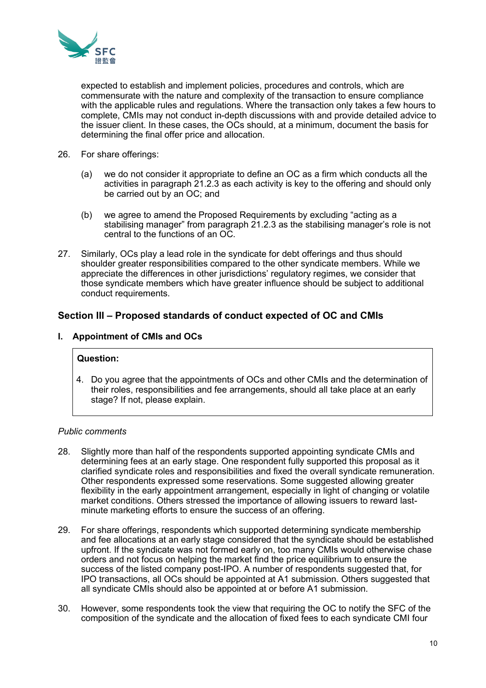

expected to establish and implement policies, procedures and controls, which are commensurate with the nature and complexity of the transaction to ensure compliance with the applicable rules and regulations. Where the transaction only takes a few hours to complete, CMIs may not conduct in-depth discussions with and provide detailed advice to the issuer client. In these cases, the OCs should, at a minimum, document the basis for determining the final offer price and allocation.

- 26. For share offerings:
	- (a) we do not consider it appropriate to define an OC as a firm which conducts all the activities in paragraph 21.2.3 as each activity is key to the offering and should only be carried out by an OC; and
	- (b) we agree to amend the Proposed Requirements by excluding "acting as a stabilising manager" from paragraph 21.2.3 as the stabilising manager's role is not central to the functions of an OC.
- 27. Similarly, OCs play a lead role in the syndicate for debt offerings and thus should shoulder greater responsibilities compared to the other syndicate members. While we appreciate the differences in other jurisdictions' regulatory regimes, we consider that those syndicate members which have greater influence should be subject to additional conduct requirements.

# **Section III – Proposed standards of conduct expected of OC and CMIs**

# **I. Appointment of CMIs and OCs**

# **Question:**

4. Do you agree that the appointments of OCs and other CMIs and the determination of their roles, responsibilities and fee arrangements, should all take place at an early stage? If not, please explain.

#### *Public comments*

- 28. Slightly more than half of the respondents supported appointing syndicate CMIs and determining fees at an early stage. One respondent fully supported this proposal as it clarified syndicate roles and responsibilities and fixed the overall syndicate remuneration. Other respondents expressed some reservations. Some suggested allowing greater flexibility in the early appointment arrangement, especially in light of changing or volatile market conditions. Others stressed the importance of allowing issuers to reward lastminute marketing efforts to ensure the success of an offering.
- 29. For share offerings, respondents which supported determining syndicate membership and fee allocations at an early stage considered that the syndicate should be established upfront. If the syndicate was not formed early on, too many CMIs would otherwise chase orders and not focus on helping the market find the price equilibrium to ensure the success of the listed company post-IPO. A number of respondents suggested that, for IPO transactions, all OCs should be appointed at A1 submission. Others suggested that all syndicate CMIs should also be appointed at or before A1 submission.
- 30. However, some respondents took the view that requiring the OC to notify the SFC of the composition of the syndicate and the allocation of fixed fees to each syndicate CMI four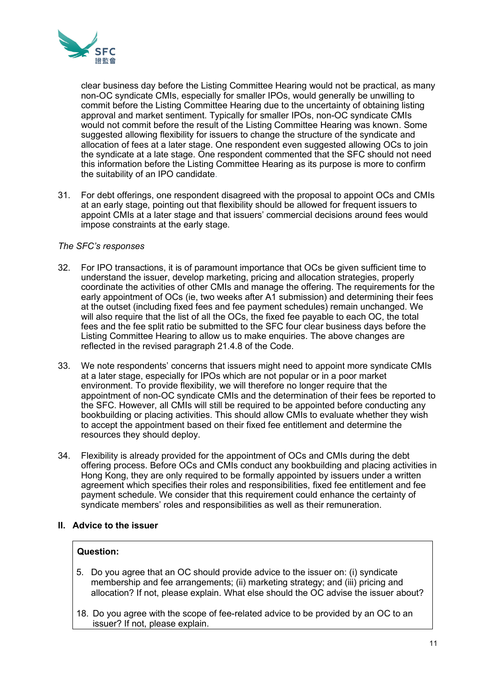

clear business day before the Listing Committee Hearing would not be practical, as many non-OC syndicate CMIs, especially for smaller IPOs, would generally be unwilling to commit before the Listing Committee Hearing due to the uncertainty of obtaining listing approval and market sentiment. Typically for smaller IPOs, non-OC syndicate CMIs would not commit before the result of the Listing Committee Hearing was known. Some suggested allowing flexibility for issuers to change the structure of the syndicate and allocation of fees at a later stage. One respondent even suggested allowing OCs to join the syndicate at a late stage. One respondent commented that the SFC should not need this information before the Listing Committee Hearing as its purpose is more to confirm the suitability of an IPO candidate.

31. For debt offerings, one respondent disagreed with the proposal to appoint OCs and CMIs at an early stage, pointing out that flexibility should be allowed for frequent issuers to appoint CMIs at a later stage and that issuers' commercial decisions around fees would impose constraints at the early stage.

# *The SFC's responses*

- 32. For IPO transactions, it is of paramount importance that OCs be given sufficient time to understand the issuer, develop marketing, pricing and allocation strategies, properly coordinate the activities of other CMIs and manage the offering. The requirements for the early appointment of OCs (ie, two weeks after A1 submission) and determining their fees at the outset (including fixed fees and fee payment schedules) remain unchanged. We will also require that the list of all the OCs, the fixed fee payable to each OC, the total fees and the fee split ratio be submitted to the SFC four clear business days before the Listing Committee Hearing to allow us to make enquiries. The above changes are reflected in the revised paragraph 21.4.8 of the Code.
- 33. We note respondents' concerns that issuers might need to appoint more syndicate CMIs at a later stage, especially for IPOs which are not popular or in a poor market environment. To provide flexibility, we will therefore no longer require that the appointment of non-OC syndicate CMIs and the determination of their fees be reported to the SFC. However, all CMIs will still be required to be appointed before conducting any bookbuilding or placing activities. This should allow CMIs to evaluate whether they wish to accept the appointment based on their fixed fee entitlement and determine the resources they should deploy.
- 34. Flexibility is already provided for the appointment of OCs and CMIs during the debt offering process. Before OCs and CMIs conduct any bookbuilding and placing activities in Hong Kong, they are only required to be formally appointed by issuers under a written agreement which specifies their roles and responsibilities, fixed fee entitlement and fee payment schedule. We consider that this requirement could enhance the certainty of syndicate members' roles and responsibilities as well as their remuneration.

#### **II. Advice to the issuer**

# **Question:**

- 5. Do you agree that an OC should provide advice to the issuer on: (i) syndicate membership and fee arrangements; (ii) marketing strategy; and (iii) pricing and allocation? If not, please explain. What else should the OC advise the issuer about?
- 18. Do you agree with the scope of fee-related advice to be provided by an OC to an issuer? If not, please explain.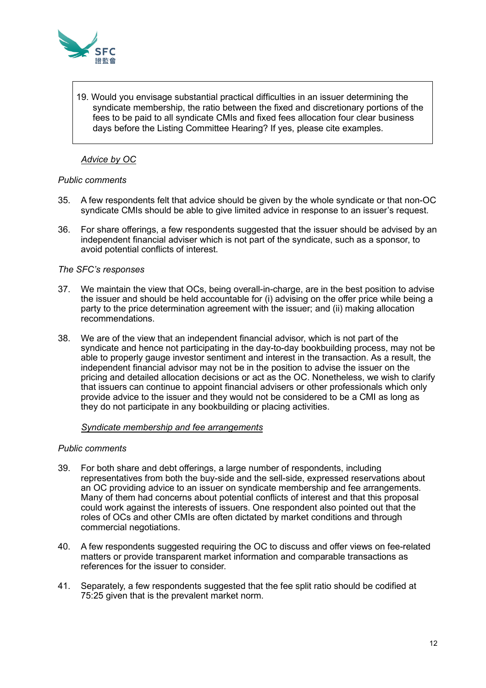

19. Would you envisage substantial practical difficulties in an issuer determining the syndicate membership, the ratio between the fixed and discretionary portions of the fees to be paid to all syndicate CMIs and fixed fees allocation four clear business days before the Listing Committee Hearing? If yes, please cite examples.

# *Advice by OC*

#### *Public comments*

- 35. A few respondents felt that advice should be given by the whole syndicate or that non-OC syndicate CMIs should be able to give limited advice in response to an issuer's request.
- 36. For share offerings, a few respondents suggested that the issuer should be advised by an independent financial adviser which is not part of the syndicate, such as a sponsor, to avoid potential conflicts of interest.

#### *The SFC's responses*

- 37. We maintain the view that OCs, being overall-in-charge, are in the best position to advise the issuer and should be held accountable for (i) advising on the offer price while being a party to the price determination agreement with the issuer; and (ii) making allocation recommendations.
- 38. We are of the view that an independent financial advisor, which is not part of the syndicate and hence not participating in the day-to-day bookbuilding process, may not be able to properly gauge investor sentiment and interest in the transaction. As a result, the independent financial advisor may not be in the position to advise the issuer on the pricing and detailed allocation decisions or act as the OC. Nonetheless, we wish to clarify that issuers can continue to appoint financial advisers or other professionals which only provide advice to the issuer and they would not be considered to be a CMI as long as they do not participate in any bookbuilding or placing activities.

#### *Syndicate membership and fee arrangements*

#### *Public comments*

- 39. For both share and debt offerings, a large number of respondents, including representatives from both the buy-side and the sell-side, expressed reservations about an OC providing advice to an issuer on syndicate membership and fee arrangements. Many of them had concerns about potential conflicts of interest and that this proposal could work against the interests of issuers. One respondent also pointed out that the roles of OCs and other CMIs are often dictated by market conditions and through commercial negotiations.
- 40. A few respondents suggested requiring the OC to discuss and offer views on fee-related matters or provide transparent market information and comparable transactions as references for the issuer to consider.
- 41. Separately, a few respondents suggested that the fee split ratio should be codified at 75:25 given that is the prevalent market norm.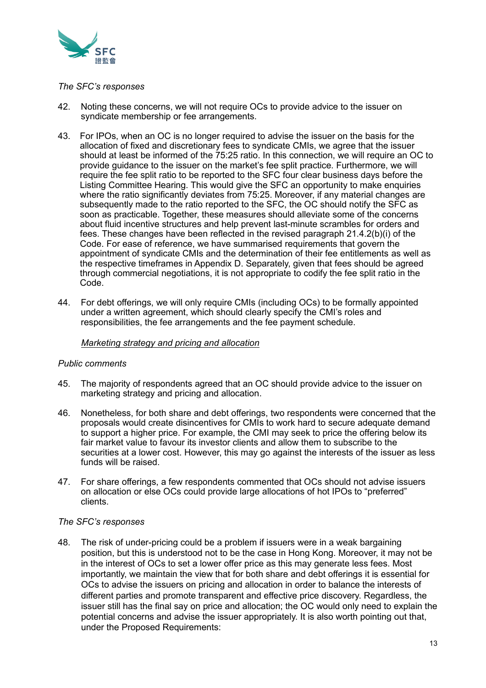

#### *The SFC's responses*

- 42. Noting these concerns, we will not require OCs to provide advice to the issuer on syndicate membership or fee arrangements.
- 43. For IPOs, when an OC is no longer required to advise the issuer on the basis for the allocation of fixed and discretionary fees to syndicate CMIs, we agree that the issuer should at least be informed of the 75:25 ratio. In this connection, we will require an OC to provide guidance to the issuer on the market's fee split practice. Furthermore, we will require the fee split ratio to be reported to the SFC four clear business days before the Listing Committee Hearing. This would give the SFC an opportunity to make enquiries where the ratio significantly deviates from 75:25. Moreover, if any material changes are subsequently made to the ratio reported to the SFC, the OC should notify the SFC as soon as practicable. Together, these measures should alleviate some of the concerns about fluid incentive structures and help prevent last-minute scrambles for orders and fees. These changes have been reflected in the revised paragraph 21.4.2(b)(i) of the Code. For ease of reference, we have summarised requirements that govern the appointment of syndicate CMIs and the determination of their fee entitlements as well as the respective timeframes in Appendix D. Separately, given that fees should be agreed through commercial negotiations, it is not appropriate to codify the fee split ratio in the Code.
- 44. For debt offerings, we will only require CMIs (including OCs) to be formally appointed under a written agreement, which should clearly specify the CMI's roles and responsibilities, the fee arrangements and the fee payment schedule.

#### *Marketing strategy and pricing and allocation*

# *Public comments*

- 45. The majority of respondents agreed that an OC should provide advice to the issuer on marketing strategy and pricing and allocation.
- 46. Nonetheless, for both share and debt offerings, two respondents were concerned that the proposals would create disincentives for CMIs to work hard to secure adequate demand to support a higher price. For example, the CMI may seek to price the offering below its fair market value to favour its investor clients and allow them to subscribe to the securities at a lower cost. However, this may go against the interests of the issuer as less funds will be raised.
- 47. For share offerings, a few respondents commented that OCs should not advise issuers on allocation or else OCs could provide large allocations of hot IPOs to "preferred" clients.

#### *The SFC's responses*

48. The risk of under-pricing could be a problem if issuers were in a weak bargaining position, but this is understood not to be the case in Hong Kong. Moreover, it may not be in the interest of OCs to set a lower offer price as this may generate less fees. Most importantly, we maintain the view that for both share and debt offerings it is essential for OCs to advise the issuers on pricing and allocation in order to balance the interests of different parties and promote transparent and effective price discovery. Regardless, the issuer still has the final say on price and allocation; the OC would only need to explain the potential concerns and advise the issuer appropriately. It is also worth pointing out that, under the Proposed Requirements: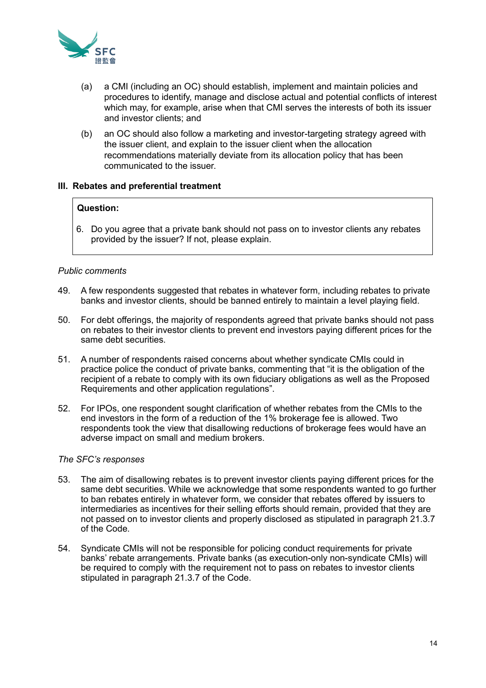

- (a) a CMI (including an OC) should establish, implement and maintain policies and procedures to identify, manage and disclose actual and potential conflicts of interest which may, for example, arise when that CMI serves the interests of both its issuer and investor clients; and
- (b) an OC should also follow a marketing and investor-targeting strategy agreed with the issuer client, and explain to the issuer client when the allocation recommendations materially deviate from its allocation policy that has been communicated to the issuer.

#### **III. Rebates and preferential treatment**

#### **Question:**

6. Do you agree that a private bank should not pass on to investor clients any rebates provided by the issuer? If not, please explain.

#### *Public comments*

- 49. A few respondents suggested that rebates in whatever form, including rebates to private banks and investor clients, should be banned entirely to maintain a level playing field.
- 50. For debt offerings, the majority of respondents agreed that private banks should not pass on rebates to their investor clients to prevent end investors paying different prices for the same debt securities.
- 51. A number of respondents raised concerns about whether syndicate CMIs could in practice police the conduct of private banks, commenting that "it is the obligation of the recipient of a rebate to comply with its own fiduciary obligations as well as the Proposed Requirements and other application regulations".
- 52. For IPOs, one respondent sought clarification of whether rebates from the CMIs to the end investors in the form of a reduction of the 1% brokerage fee is allowed. Two respondents took the view that disallowing reductions of brokerage fees would have an adverse impact on small and medium brokers.

#### *The SFC's responses*

- 53. The aim of disallowing rebates is to prevent investor clients paying different prices for the same debt securities. While we acknowledge that some respondents wanted to go further to ban rebates entirely in whatever form, we consider that rebates offered by issuers to intermediaries as incentives for their selling efforts should remain, provided that they are not passed on to investor clients and properly disclosed as stipulated in paragraph 21.3.7 of the Code.
- 54. Syndicate CMIs will not be responsible for policing conduct requirements for private banks' rebate arrangements. Private banks (as execution-only non-syndicate CMIs) will be required to comply with the requirement not to pass on rebates to investor clients stipulated in paragraph 21.3.7 of the Code.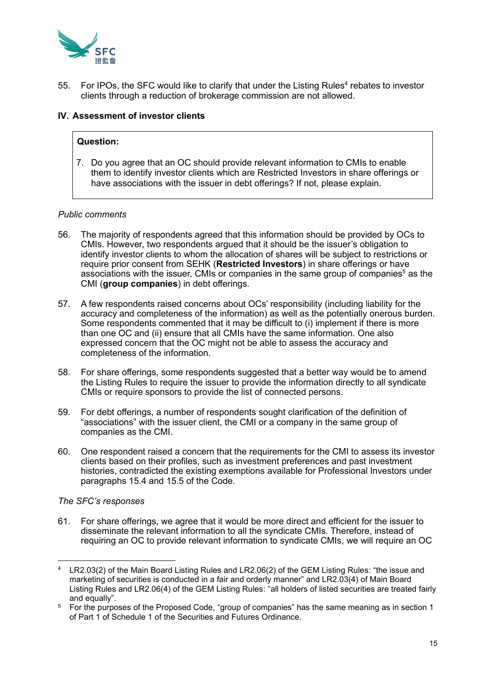

55. For IPOs, the SFC would like to clarify that under the Listing Rules<sup>4</sup> rebates to investor clients through a reduction of brokerage commission are not allowed.

# **IV. Assessment of investor clients**

#### **Question:**

7. Do you agree that an OC should provide relevant information to CMIs to enable them to identify investor clients which are Restricted Investors in share offerings or have associations with the issuer in debt offerings? If not, please explain.

#### *Public comments*

- 56. The majority of respondents agreed that this information should be provided by OCs to CMIs. However, two respondents argued that it should be the issuer's obligation to identify investor clients to whom the allocation of shares will be subject to restrictions or require prior consent from SEHK (**Restricted Investors**) in share offerings or have associations with the issuer, CMIs or companies in the same group of companies<sup>5</sup> as the CMI (**group companies**) in debt offerings.
- 57. A few respondents raised concerns about OCs' responsibility (including liability for the accuracy and completeness of the information) as well as the potentially onerous burden. Some respondents commented that it may be difficult to (i) implement if there is more than one OC and (ii) ensure that all CMIs have the same information. One also expressed concern that the OC might not be able to assess the accuracy and completeness of the information.
- 58. For share offerings, some respondents suggested that a better way would be to amend the Listing Rules to require the issuer to provide the information directly to all syndicate CMIs or require sponsors to provide the list of connected persons.
- 59. For debt offerings, a number of respondents sought clarification of the definition of "associations" with the issuer client, the CMI or a company in the same group of companies as the CMI.
- 60. One respondent raised a concern that the requirements for the CMI to assess its investor clients based on their profiles, such as investment preferences and past investment histories, contradicted the existing exemptions available for Professional Investors under paragraphs 15.4 and 15.5 of the Code.

#### *The SFC's responses*

61. For share offerings, we agree that it would be more direct and efficient for the issuer to disseminate the relevant information to all the syndicate CMIs. Therefore, instead of requiring an OC to provide relevant information to syndicate CMIs, we will require an OC

<sup>4</sup> LR2.03(2) of the Main Board Listing Rules and LR2.06(2) of the GEM Listing Rules: "the issue and marketing of securities is conducted in a fair and orderly manner" and LR2.03(4) of Main Board Listing Rules and LR2.06(4) of the GEM Listing Rules: "all holders of listed securities are treated fairly and equally".

<sup>&</sup>lt;sup>5</sup> For the purposes of the Proposed Code, "group of companies" has the same meaning as in section 1 of Part 1 of Schedule 1 of the Securities and Futures Ordinance.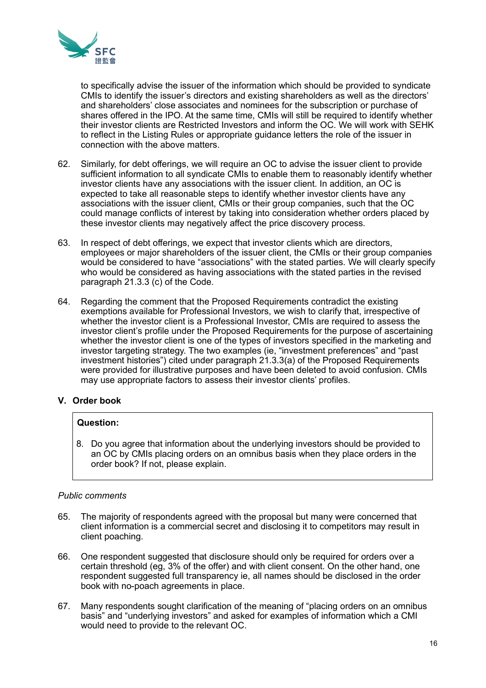

to specifically advise the issuer of the information which should be provided to syndicate CMIs to identify the issuer's directors and existing shareholders as well as the directors' and shareholders' close associates and nominees for the subscription or purchase of shares offered in the IPO. At the same time, CMIs will still be required to identify whether their investor clients are Restricted Investors and inform the OC. We will work with SEHK to reflect in the Listing Rules or appropriate guidance letters the role of the issuer in connection with the above matters.

- 62. Similarly, for debt offerings, we will require an OC to advise the issuer client to provide sufficient information to all syndicate CMIs to enable them to reasonably identify whether investor clients have any associations with the issuer client. In addition, an OC is expected to take all reasonable steps to identify whether investor clients have any associations with the issuer client, CMIs or their group companies, such that the OC could manage conflicts of interest by taking into consideration whether orders placed by these investor clients may negatively affect the price discovery process.
- 63. In respect of debt offerings, we expect that investor clients which are directors, employees or major shareholders of the issuer client, the CMIs or their group companies would be considered to have "associations" with the stated parties. We will clearly specify who would be considered as having associations with the stated parties in the revised paragraph 21.3.3 (c) of the Code.
- 64. Regarding the comment that the Proposed Requirements contradict the existing exemptions available for Professional Investors, we wish to clarify that, irrespective of whether the investor client is a Professional Investor, CMIs are required to assess the investor client's profile under the Proposed Requirements for the purpose of ascertaining whether the investor client is one of the types of investors specified in the marketing and investor targeting strategy. The two examples (ie, "investment preferences" and "past investment histories") cited under paragraph 21.3.3(a) of the Proposed Requirements were provided for illustrative purposes and have been deleted to avoid confusion. CMIs may use appropriate factors to assess their investor clients' profiles.

# **V. Order book**

# **Question:**

8. Do you agree that information about the underlying investors should be provided to an OC by CMIs placing orders on an omnibus basis when they place orders in the order book? If not, please explain.

# *Public comments*

- 65. The majority of respondents agreed with the proposal but many were concerned that client information is a commercial secret and disclosing it to competitors may result in client poaching.
- 66. One respondent suggested that disclosure should only be required for orders over a certain threshold (eg, 3% of the offer) and with client consent. On the other hand, one respondent suggested full transparency ie, all names should be disclosed in the order book with no-poach agreements in place.
- 67. Many respondents sought clarification of the meaning of "placing orders on an omnibus basis" and "underlying investors" and asked for examples of information which a CMI would need to provide to the relevant OC.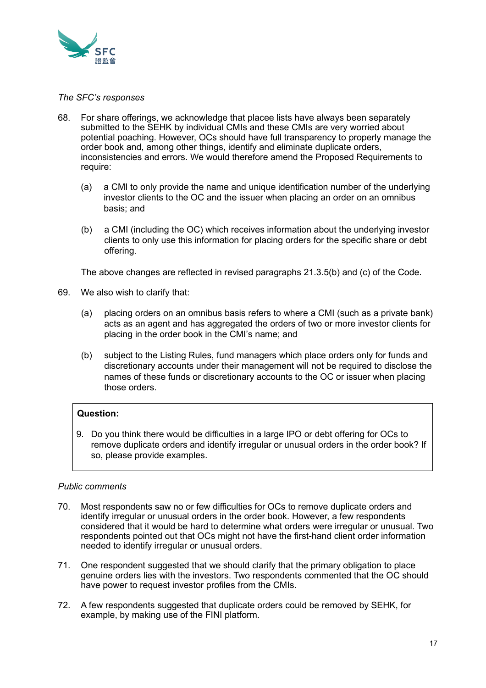

#### *The SFC's responses*

- 68. For share offerings, we acknowledge that placee lists have always been separately submitted to the SEHK by individual CMIs and these CMIs are very worried about potential poaching. However, OCs should have full transparency to properly manage the order book and, among other things, identify and eliminate duplicate orders, inconsistencies and errors. We would therefore amend the Proposed Requirements to require:
	- (a) a CMI to only provide the name and unique identification number of the underlying investor clients to the OC and the issuer when placing an order on an omnibus basis; and
	- (b) a CMI (including the OC) which receives information about the underlying investor clients to only use this information for placing orders for the specific share or debt offering.

The above changes are reflected in revised paragraphs 21.3.5(b) and (c) of the Code.

- 69. We also wish to clarify that:
	- (a) placing orders on an omnibus basis refers to where a CMI (such as a private bank) acts as an agent and has aggregated the orders of two or more investor clients for placing in the order book in the CMI's name; and
	- (b) subject to the Listing Rules, fund managers which place orders only for funds and discretionary accounts under their management will not be required to disclose the names of these funds or discretionary accounts to the OC or issuer when placing those orders.

# **Question:**

9. Do you think there would be difficulties in a large IPO or debt offering for OCs to remove duplicate orders and identify irregular or unusual orders in the order book? If so, please provide examples.

# *Public comments*

- 70. Most respondents saw no or few difficulties for OCs to remove duplicate orders and identify irregular or unusual orders in the order book. However, a few respondents considered that it would be hard to determine what orders were irregular or unusual. Two respondents pointed out that OCs might not have the first-hand client order information needed to identify irregular or unusual orders.
- 71. One respondent suggested that we should clarify that the primary obligation to place genuine orders lies with the investors. Two respondents commented that the OC should have power to request investor profiles from the CMIs.
- 72. A few respondents suggested that duplicate orders could be removed by SEHK, for example, by making use of the FINI platform.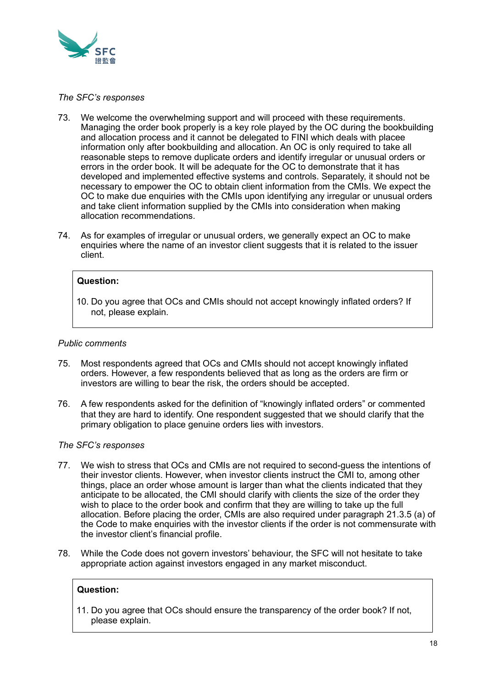

#### *The SFC's responses*

- 73. We welcome the overwhelming support and will proceed with these requirements. Managing the order book properly is a key role played by the OC during the bookbuilding and allocation process and it cannot be delegated to FINI which deals with placee information only after bookbuilding and allocation. An OC is only required to take all reasonable steps to remove duplicate orders and identify irregular or unusual orders or errors in the order book. It will be adequate for the OC to demonstrate that it has developed and implemented effective systems and controls. Separately, it should not be necessary to empower the OC to obtain client information from the CMIs. We expect the OC to make due enquiries with the CMIs upon identifying any irregular or unusual orders and take client information supplied by the CMIs into consideration when making allocation recommendations.
- 74. As for examples of irregular or unusual orders, we generally expect an OC to make enquiries where the name of an investor client suggests that it is related to the issuer client.

#### **Question:**

10. Do you agree that OCs and CMIs should not accept knowingly inflated orders? If not, please explain.

#### *Public comments*

- 75. Most respondents agreed that OCs and CMIs should not accept knowingly inflated orders. However, a few respondents believed that as long as the orders are firm or investors are willing to bear the risk, the orders should be accepted.
- 76. A few respondents asked for the definition of "knowingly inflated orders" or commented that they are hard to identify. One respondent suggested that we should clarify that the primary obligation to place genuine orders lies with investors.

#### *The SFC's responses*

- 77. We wish to stress that OCs and CMIs are not required to second-guess the intentions of their investor clients. However, when investor clients instruct the CMI to, among other things, place an order whose amount is larger than what the clients indicated that they anticipate to be allocated, the CMI should clarify with clients the size of the order they wish to place to the order book and confirm that they are willing to take up the full allocation. Before placing the order, CMIs are also required under paragraph 21.3.5 (a) of the Code to make enquiries with the investor clients if the order is not commensurate with the investor client's financial profile.
- 78. While the Code does not govern investors' behaviour, the SFC will not hesitate to take appropriate action against investors engaged in any market misconduct.

#### **Question:**

11. Do you agree that OCs should ensure the transparency of the order book? If not, please explain.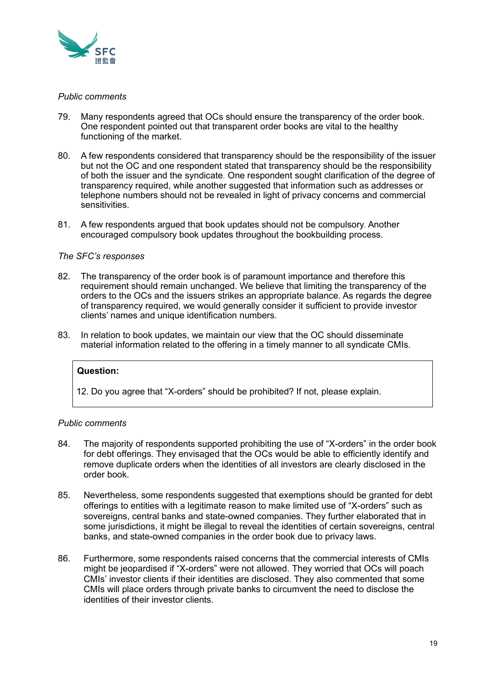

### *Public comments*

- 79. Many respondents agreed that OCs should ensure the transparency of the order book. One respondent pointed out that transparent order books are vital to the healthy functioning of the market.
- 80. A few respondents considered that transparency should be the responsibility of the issuer but not the OC and one respondent stated that transparency should be the responsibility of both the issuer and the syndicate. One respondent sought clarification of the degree of transparency required, while another suggested that information such as addresses or telephone numbers should not be revealed in light of privacy concerns and commercial sensitivities.
- 81. A few respondents argued that book updates should not be compulsory. Another encouraged compulsory book updates throughout the bookbuilding process.

#### *The SFC's responses*

- 82. The transparency of the order book is of paramount importance and therefore this requirement should remain unchanged. We believe that limiting the transparency of the orders to the OCs and the issuers strikes an appropriate balance. As regards the degree of transparency required, we would generally consider it sufficient to provide investor clients' names and unique identification numbers.
- 83. In relation to book updates, we maintain our view that the OC should disseminate material information related to the offering in a timely manner to all syndicate CMIs.

#### **Question:**

12. Do you agree that "X-orders" should be prohibited? If not, please explain.

#### *Public comments*

- 84. The majority of respondents supported prohibiting the use of "X-orders" in the order book for debt offerings. They envisaged that the OCs would be able to efficiently identify and remove duplicate orders when the identities of all investors are clearly disclosed in the order book.
- 85. Nevertheless, some respondents suggested that exemptions should be granted for debt offerings to entities with a legitimate reason to make limited use of "X-orders" such as sovereigns, central banks and state-owned companies. They further elaborated that in some jurisdictions, it might be illegal to reveal the identities of certain sovereigns, central banks, and state-owned companies in the order book due to privacy laws.
- 86. Furthermore, some respondents raised concerns that the commercial interests of CMIs might be jeopardised if "X-orders" were not allowed. They worried that OCs will poach CMIs' investor clients if their identities are disclosed. They also commented that some CMIs will place orders through private banks to circumvent the need to disclose the identities of their investor clients.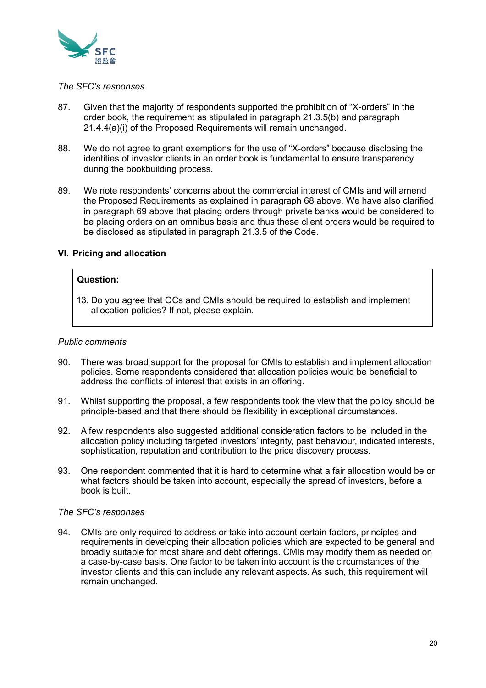

#### *The SFC's responses*

- 87. Given that the majority of respondents supported the prohibition of "X-orders" in the order book, the requirement as stipulated in paragraph 21.3.5(b) and paragraph 21.4.4(a)(i) of the Proposed Requirements will remain unchanged.
- 88. We do not agree to grant exemptions for the use of "X-orders" because disclosing the identities of investor clients in an order book is fundamental to ensure transparency during the bookbuilding process.
- 89. We note respondents' concerns about the commercial interest of CMIs and will amend the Proposed Requirements as explained in paragraph 68 above. We have also clarified in paragraph 69 above that placing orders through private banks would be considered to be placing orders on an omnibus basis and thus these client orders would be required to be disclosed as stipulated in paragraph 21.3.5 of the Code.

# **VI. Pricing and allocation**

# **Question:**

13. Do you agree that OCs and CMIs should be required to establish and implement allocation policies? If not, please explain.

#### *Public comments*

- 90. There was broad support for the proposal for CMIs to establish and implement allocation policies. Some respondents considered that allocation policies would be beneficial to address the conflicts of interest that exists in an offering.
- 91. Whilst supporting the proposal, a few respondents took the view that the policy should be principle-based and that there should be flexibility in exceptional circumstances.
- 92. A few respondents also suggested additional consideration factors to be included in the allocation policy including targeted investors' integrity, past behaviour, indicated interests, sophistication, reputation and contribution to the price discovery process.
- 93. One respondent commented that it is hard to determine what a fair allocation would be or what factors should be taken into account, especially the spread of investors, before a book is built.

#### *The SFC's responses*

94. CMIs are only required to address or take into account certain factors, principles and requirements in developing their allocation policies which are expected to be general and broadly suitable for most share and debt offerings. CMIs may modify them as needed on a case-by-case basis. One factor to be taken into account is the circumstances of the investor clients and this can include any relevant aspects. As such, this requirement will remain unchanged.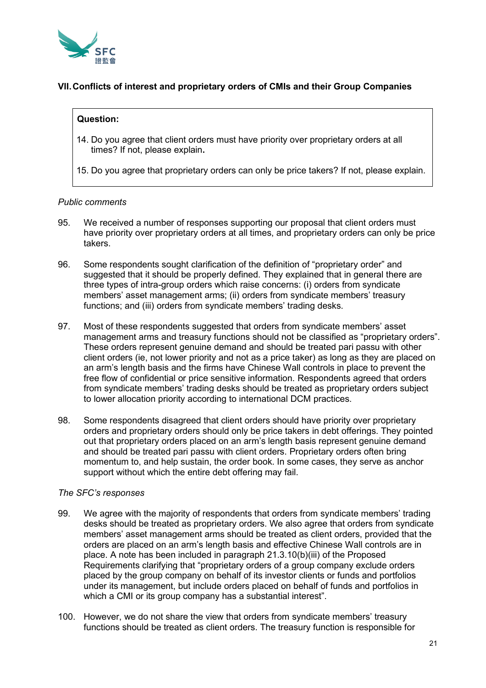

# **VII.Conflicts of interest and proprietary orders of CMIs and their Group Companies**

### **Question:**

- 14. Do you agree that client orders must have priority over proprietary orders at all times? If not, please explain**.**
- 15. Do you agree that proprietary orders can only be price takers? If not, please explain.

#### *Public comments*

- 95. We received a number of responses supporting our proposal that client orders must have priority over proprietary orders at all times, and proprietary orders can only be price takers.
- 96. Some respondents sought clarification of the definition of "proprietary order" and suggested that it should be properly defined. They explained that in general there are three types of intra-group orders which raise concerns: (i) orders from syndicate members' asset management arms; (ii) orders from syndicate members' treasury functions; and (iii) orders from syndicate members' trading desks.
- 97. Most of these respondents suggested that orders from syndicate members' asset management arms and treasury functions should not be classified as "proprietary orders". These orders represent genuine demand and should be treated pari passu with other client orders (ie, not lower priority and not as a price taker) as long as they are placed on an arm's length basis and the firms have Chinese Wall controls in place to prevent the free flow of confidential or price sensitive information. Respondents agreed that orders from syndicate members' trading desks should be treated as proprietary orders subject to lower allocation priority according to international DCM practices.
- 98. Some respondents disagreed that client orders should have priority over proprietary orders and proprietary orders should only be price takers in debt offerings. They pointed out that proprietary orders placed on an arm's length basis represent genuine demand and should be treated pari passu with client orders. Proprietary orders often bring momentum to, and help sustain, the order book. In some cases, they serve as anchor support without which the entire debt offering may fail.

#### *The SFC's responses*

- 99. We agree with the majority of respondents that orders from syndicate members' trading desks should be treated as proprietary orders. We also agree that orders from syndicate members' asset management arms should be treated as client orders, provided that the orders are placed on an arm's length basis and effective Chinese Wall controls are in place. A note has been included in paragraph 21.3.10(b)(iii) of the Proposed Requirements clarifying that "proprietary orders of a group company exclude orders placed by the group company on behalf of its investor clients or funds and portfolios under its management, but include orders placed on behalf of funds and portfolios in which a CMI or its group company has a substantial interest".
- 100. However, we do not share the view that orders from syndicate members' treasury functions should be treated as client orders. The treasury function is responsible for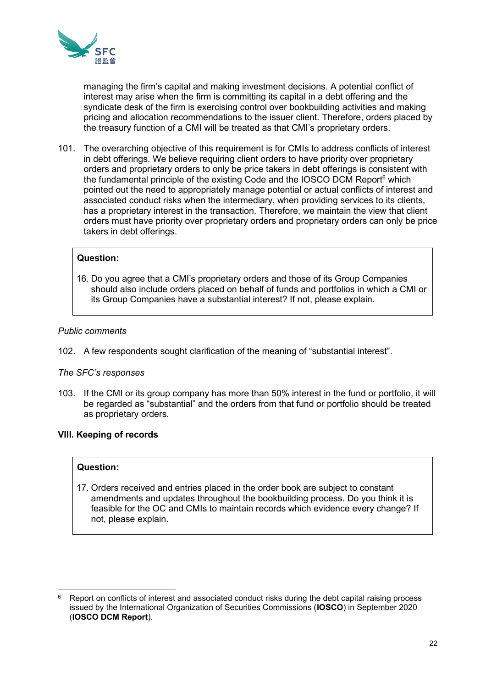

managing the firm's capital and making investment decisions. A potential conflict of interest may arise when the firm is committing its capital in a debt offering and the syndicate desk of the firm is exercising control over bookbuilding activities and making pricing and allocation recommendations to the issuer client. Therefore, orders placed by the treasury function of a CMI will be treated as that CMI's proprietary orders.

101. The overarching objective of this requirement is for CMIs to address conflicts of interest in debt offerings. We believe requiring client orders to have priority over proprietary orders and proprietary orders to only be price takers in debt offerings is consistent with the fundamental principle of the existing Code and the IOSCO DCM Report<sup>6</sup> which pointed out the need to appropriately manage potential or actual conflicts of interest and associated conduct risks when the intermediary, when providing services to its clients, has a proprietary interest in the transaction. Therefore, we maintain the view that client orders must have priority over proprietary orders and proprietary orders can only be price takers in debt offerings.

### **Question:**

16. Do you agree that a CMI's proprietary orders and those of its Group Companies should also include orders placed on behalf of funds and portfolios in which a CMI or its Group Companies have a substantial interest? If not, please explain.

#### *Public comments*

102. A few respondents sought clarification of the meaning of "substantial interest".

#### *The SFC's responses*

103. If the CMI or its group company has more than 50% interest in the fund or portfolio, it will be regarded as "substantial" and the orders from that fund or portfolio should be treated as proprietary orders.

#### **VIII. Keeping of records**

#### **Question:**

17. Orders received and entries placed in the order book are subject to constant amendments and updates throughout the bookbuilding process. Do you think it is feasible for the OC and CMIs to maintain records which evidence every change? If not, please explain.

<sup>6</sup> Report on conflicts of interest and associated conduct risks during the debt capital raising process issued by the International Organization of Securities Commissions (**IOSCO**) in September 2020 (**IOSCO DCM Report**).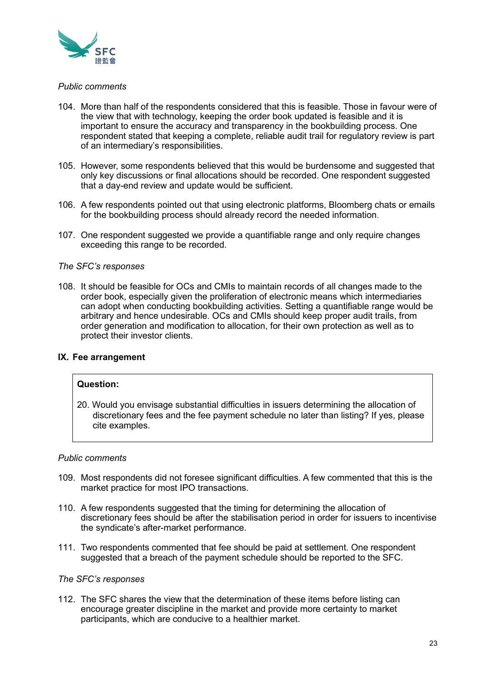

#### *Public comments*

- 104. More than half of the respondents considered that this is feasible. Those in favour were of the view that with technology, keeping the order book updated is feasible and it is important to ensure the accuracy and transparency in the bookbuilding process. One respondent stated that keeping a complete, reliable audit trail for regulatory review is part of an intermediary's responsibilities.
- 105. However, some respondents believed that this would be burdensome and suggested that only key discussions or final allocations should be recorded. One respondent suggested that a day-end review and update would be sufficient.
- 106. A few respondents pointed out that using electronic platforms, Bloomberg chats or emails for the bookbuilding process should already record the needed information.
- 107. One respondent suggested we provide a quantifiable range and only require changes exceeding this range to be recorded.

#### *The SFC's responses*

108. It should be feasible for OCs and CMIs to maintain records of all changes made to the order book, especially given the proliferation of electronic means which intermediaries can adopt when conducting bookbuilding activities. Setting a quantifiable range would be arbitrary and hence undesirable. OCs and CMIs should keep proper audit trails, from order generation and modification to allocation, for their own protection as well as to protect their investor clients.

#### **IX. Fee arrangement**

#### **Question:**

20. Would you envisage substantial difficulties in issuers determining the allocation of discretionary fees and the fee payment schedule no later than listing? If yes, please cite examples.

#### *Public comments*

- 109. Most respondents did not foresee significant difficulties. A few commented that this is the market practice for most IPO transactions.
- 110. A few respondents suggested that the timing for determining the allocation of discretionary fees should be after the stabilisation period in order for issuers to incentivise the syndicate's after-market performance.
- 111. Two respondents commented that fee should be paid at settlement. One respondent suggested that a breach of the payment schedule should be reported to the SFC.

#### *The SFC's responses*

112. The SFC shares the view that the determination of these items before listing can encourage greater discipline in the market and provide more certainty to market participants, which are conducive to a healthier market.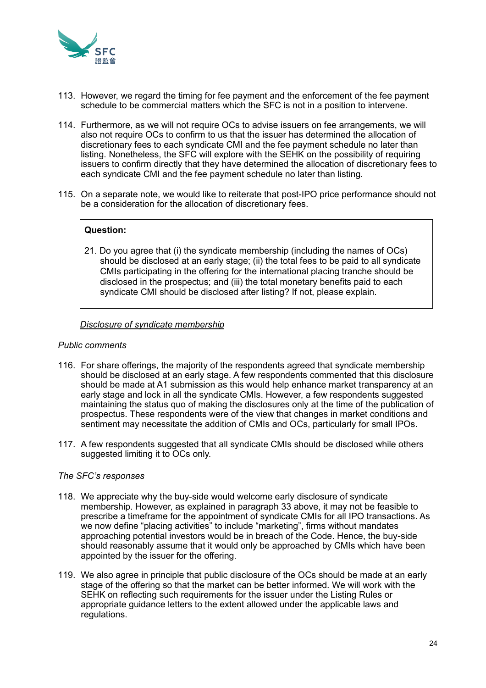

- 113. However, we regard the timing for fee payment and the enforcement of the fee payment schedule to be commercial matters which the SFC is not in a position to intervene.
- 114. Furthermore, as we will not require OCs to advise issuers on fee arrangements, we will also not require OCs to confirm to us that the issuer has determined the allocation of discretionary fees to each syndicate CMI and the fee payment schedule no later than listing. Nonetheless, the SFC will explore with the SEHK on the possibility of requiring issuers to confirm directly that they have determined the allocation of discretionary fees to each syndicate CMI and the fee payment schedule no later than listing.
- 115. On a separate note, we would like to reiterate that post-IPO price performance should not be a consideration for the allocation of discretionary fees.

# **Question:**

21. Do you agree that (i) the syndicate membership (including the names of OCs) should be disclosed at an early stage; (ii) the total fees to be paid to all syndicate CMIs participating in the offering for the international placing tranche should be disclosed in the prospectus; and (iii) the total monetary benefits paid to each syndicate CMI should be disclosed after listing? If not, please explain.

#### *Disclosure of syndicate membership*

#### *Public comments*

- 116. For share offerings, the majority of the respondents agreed that syndicate membership should be disclosed at an early stage. A few respondents commented that this disclosure should be made at A1 submission as this would help enhance market transparency at an early stage and lock in all the syndicate CMIs. However, a few respondents suggested maintaining the status quo of making the disclosures only at the time of the publication of prospectus. These respondents were of the view that changes in market conditions and sentiment may necessitate the addition of CMIs and OCs, particularly for small IPOs.
- 117. A few respondents suggested that all syndicate CMIs should be disclosed while others suggested limiting it to OCs only.

#### *The SFC's responses*

- 118. We appreciate why the buy-side would welcome early disclosure of syndicate membership. However, as explained in paragraph 33 above, it may not be feasible to prescribe a timeframe for the appointment of syndicate CMIs for all IPO transactions. As we now define "placing activities" to include "marketing", firms without mandates approaching potential investors would be in breach of the Code. Hence, the buy-side should reasonably assume that it would only be approached by CMIs which have been appointed by the issuer for the offering.
- 119. We also agree in principle that public disclosure of the OCs should be made at an early stage of the offering so that the market can be better informed. We will work with the SEHK on reflecting such requirements for the issuer under the Listing Rules or appropriate guidance letters to the extent allowed under the applicable laws and regulations.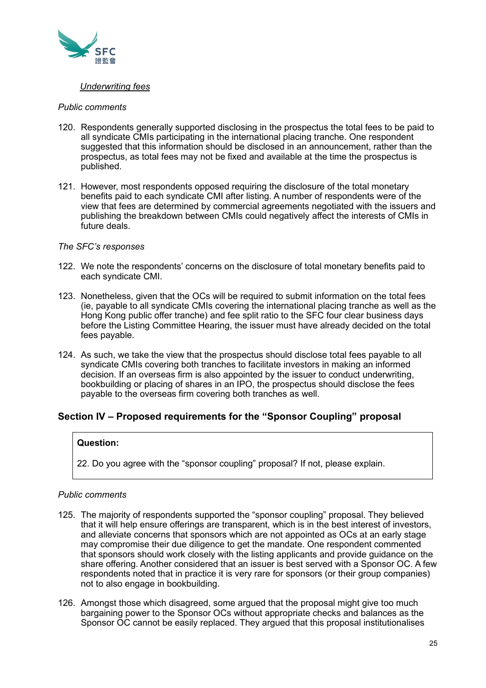

# *Underwriting fees*

#### *Public comments*

- 120. Respondents generally supported disclosing in the prospectus the total fees to be paid to all syndicate CMIs participating in the international placing tranche. One respondent suggested that this information should be disclosed in an announcement, rather than the prospectus, as total fees may not be fixed and available at the time the prospectus is published.
- 121. However, most respondents opposed requiring the disclosure of the total monetary benefits paid to each syndicate CMI after listing. A number of respondents were of the view that fees are determined by commercial agreements negotiated with the issuers and publishing the breakdown between CMIs could negatively affect the interests of CMIs in future deals.

#### *The SFC's responses*

- 122. We note the respondents' concerns on the disclosure of total monetary benefits paid to each syndicate CMI.
- 123. Nonetheless, given that the OCs will be required to submit information on the total fees (ie, payable to all syndicate CMIs covering the international placing tranche as well as the Hong Kong public offer tranche) and fee split ratio to the SFC four clear business days before the Listing Committee Hearing, the issuer must have already decided on the total fees payable.
- 124. As such, we take the view that the prospectus should disclose total fees payable to all syndicate CMIs covering both tranches to facilitate investors in making an informed decision. If an overseas firm is also appointed by the issuer to conduct underwriting, bookbuilding or placing of shares in an IPO, the prospectus should disclose the fees payable to the overseas firm covering both tranches as well.

# **Section IV – Proposed requirements for the "Sponsor Coupling" proposal**

# **Question:**

22. Do you agree with the "sponsor coupling" proposal? If not, please explain.

# *Public comments*

- 125. The majority of respondents supported the "sponsor coupling" proposal. They believed that it will help ensure offerings are transparent, which is in the best interest of investors, and alleviate concerns that sponsors which are not appointed as OCs at an early stage may compromise their due diligence to get the mandate. One respondent commented that sponsors should work closely with the listing applicants and provide guidance on the share offering. Another considered that an issuer is best served with a Sponsor OC. A few respondents noted that in practice it is very rare for sponsors (or their group companies) not to also engage in bookbuilding.
- 126. Amongst those which disagreed, some argued that the proposal might give too much bargaining power to the Sponsor OCs without appropriate checks and balances as the Sponsor OC cannot be easily replaced. They argued that this proposal institutionalises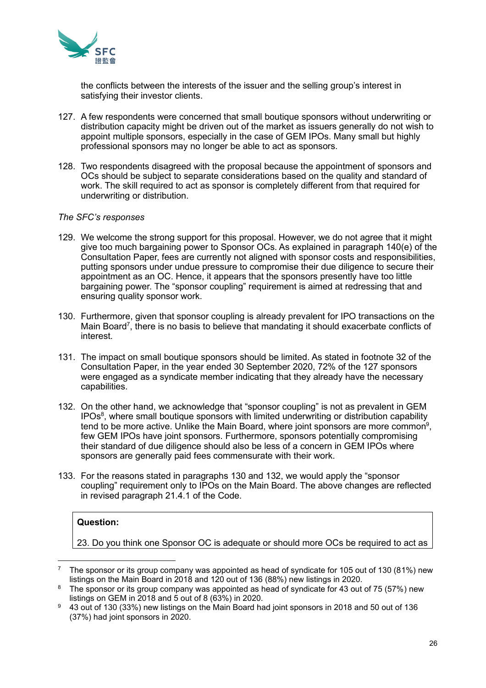

the conflicts between the interests of the issuer and the selling group's interest in satisfying their investor clients.

- 127. A few respondents were concerned that small boutique sponsors without underwriting or distribution capacity might be driven out of the market as issuers generally do not wish to appoint multiple sponsors, especially in the case of GEM IPOs. Many small but highly professional sponsors may no longer be able to act as sponsors.
- 128. Two respondents disagreed with the proposal because the appointment of sponsors and OCs should be subject to separate considerations based on the quality and standard of work. The skill required to act as sponsor is completely different from that required for underwriting or distribution.

#### *The SFC's responses*

- 129. We welcome the strong support for this proposal. However, we do not agree that it might give too much bargaining power to Sponsor OCs. As explained in paragraph 140(e) of the Consultation Paper, fees are currently not aligned with sponsor costs and responsibilities, putting sponsors under undue pressure to compromise their due diligence to secure their appointment as an OC. Hence, it appears that the sponsors presently have too little bargaining power. The "sponsor coupling" requirement is aimed at redressing that and ensuring quality sponsor work.
- 130. Furthermore, given that sponsor coupling is already prevalent for IPO transactions on the Main Board<sup>7</sup>, there is no basis to believe that mandating it should exacerbate conflicts of interest.
- 131. The impact on small boutique sponsors should be limited. As stated in footnote 32 of the Consultation Paper, in the year ended 30 September 2020, 72% of the 127 sponsors were engaged as a syndicate member indicating that they already have the necessary capabilities.
- 132. On the other hand, we acknowledge that "sponsor coupling" is not as prevalent in GEM IPOs $\text{8}$ , where small boutique sponsors with limited underwriting or distribution capability tend to be more active. Unlike the Main Board, where joint sponsors are more common $^9\!,\,$ few GEM IPOs have joint sponsors. Furthermore, sponsors potentially compromising their standard of due diligence should also be less of a concern in GEM IPOs where sponsors are generally paid fees commensurate with their work.
- 133. For the reasons stated in paragraphs 130 and 132, we would apply the "sponsor coupling" requirement only to IPOs on the Main Board. The above changes are reflected in revised paragraph 21.4.1 of the Code.

# **Question:**

23. Do you think one Sponsor OC is adequate or should more OCs be required to act as

<sup>7</sup> The sponsor or its group company was appointed as head of syndicate for 105 out of 130 (81%) new listings on the Main Board in 2018 and 120 out of 136 (88%) new listings in 2020.

<sup>&</sup>lt;sup>8</sup> The sponsor or its group company was appointed as head of syndicate for 43 out of 75 (57%) new listings on GEM in 2018 and 5 out of 8 (63%) in 2020.

 $9 - 43$  out of 130 (33%) new listings on the Main Board had joint sponsors in 2018 and 50 out of 136 (37%) had joint sponsors in 2020.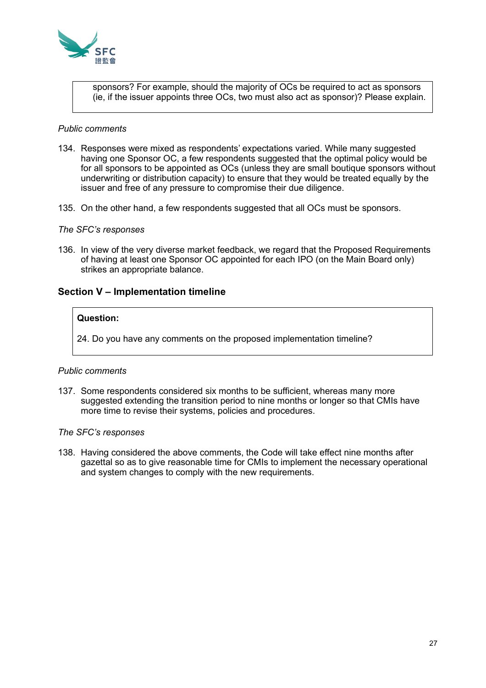

sponsors? For example, should the majority of OCs be required to act as sponsors (ie, if the issuer appoints three OCs, two must also act as sponsor)? Please explain.

#### *Public comments*

- 134. Responses were mixed as respondents' expectations varied. While many suggested having one Sponsor OC, a few respondents suggested that the optimal policy would be for all sponsors to be appointed as OCs (unless they are small boutique sponsors without underwriting or distribution capacity) to ensure that they would be treated equally by the issuer and free of any pressure to compromise their due diligence.
- 135. On the other hand, a few respondents suggested that all OCs must be sponsors.

#### *The SFC's responses*

136. In view of the very diverse market feedback, we regard that the Proposed Requirements of having at least one Sponsor OC appointed for each IPO (on the Main Board only) strikes an appropriate balance.

#### **Section V – Implementation timeline**

#### **Question:**

24. Do you have any comments on the proposed implementation timeline?

#### *Public comments*

137. Some respondents considered six months to be sufficient, whereas many more suggested extending the transition period to nine months or longer so that CMIs have more time to revise their systems, policies and procedures.

#### *The SFC's responses*

138. Having considered the above comments, the Code will take effect nine months after gazettal so as to give reasonable time for CMIs to implement the necessary operational and system changes to comply with the new requirements.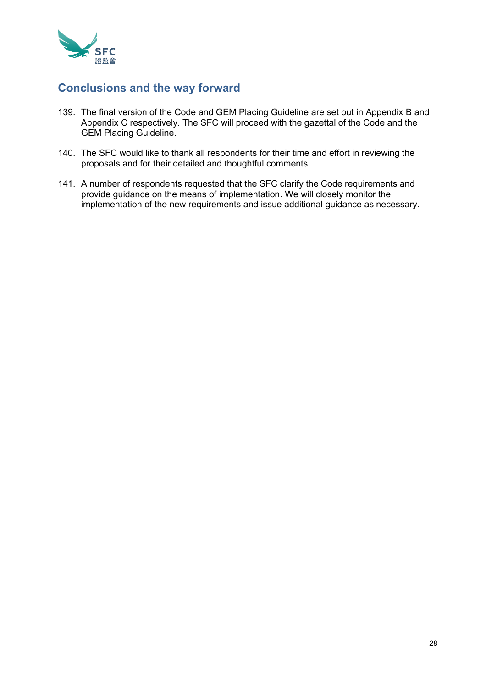

# **Conclusions and the way forward**

- 139. The final version of the Code and GEM Placing Guideline are set out in Appendix B and Appendix C respectively. The SFC will proceed with the gazettal of the Code and the GEM Placing Guideline.
- 140. The SFC would like to thank all respondents for their time and effort in reviewing the proposals and for their detailed and thoughtful comments.
- 141. A number of respondents requested that the SFC clarify the Code requirements and provide guidance on the means of implementation. We will closely monitor the implementation of the new requirements and issue additional guidance as necessary.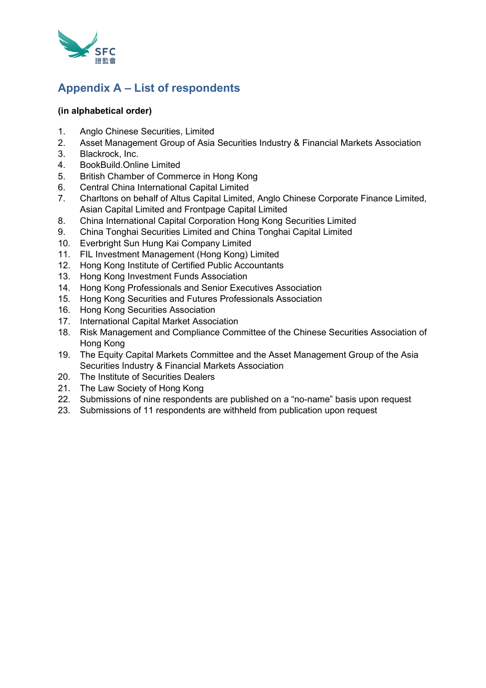

# **Appendix A – List of respondents**

# **(in alphabetical order)**

- 1. Anglo Chinese Securities, Limited
- 2. Asset Management Group of Asia Securities Industry & Financial Markets Association
- 3. Blackrock, Inc.
- 4. BookBuild.Online Limited
- 5. British Chamber of Commerce in Hong Kong
- 6. Central China International Capital Limited
- 7. Charltons on behalf of Altus Capital Limited, Anglo Chinese Corporate Finance Limited, Asian Capital Limited and Frontpage Capital Limited
- 8. China International Capital Corporation Hong Kong Securities Limited
- 9. China Tonghai Securities Limited and China Tonghai Capital Limited
- 10. Everbright Sun Hung Kai Company Limited
- 11. FIL Investment Management (Hong Kong) Limited
- 12. Hong Kong Institute of Certified Public Accountants
- 13. Hong Kong Investment Funds Association
- 14. Hong Kong Professionals and Senior Executives Association
- 15. Hong Kong Securities and Futures Professionals Association
- 16. Hong Kong Securities Association
- 17. International Capital Market Association
- 18. Risk Management and Compliance Committee of the Chinese Securities Association of Hong Kong
- 19. The Equity Capital Markets Committee and the Asset Management Group of the Asia Securities Industry & Financial Markets Association
- 20. The Institute of Securities Dealers
- 21. The Law Society of Hong Kong
- 22. Submissions of nine respondents are published on a "no-name" basis upon request
- 23. Submissions of 11 respondents are withheld from publication upon request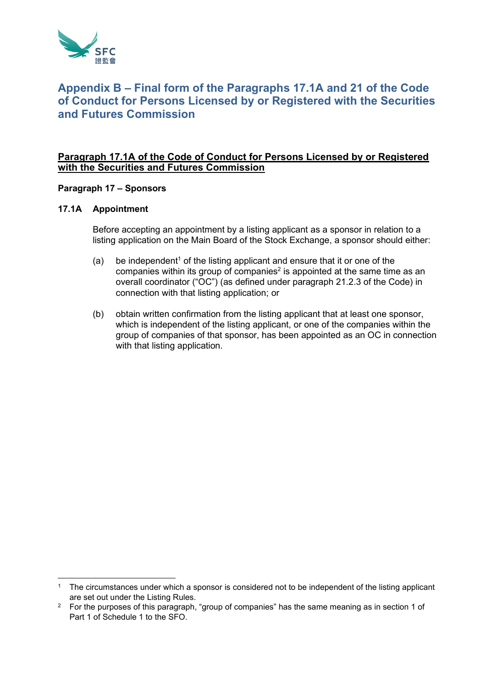

# **Appendix B – Final form of the Paragraphs 17.1A and 21 of the Code of Conduct for Persons Licensed by or Registered with the Securities and Futures Commission**

# **Paragraph 17.1A of the Code of Conduct for Persons Licensed by or Registered with the Securities and Futures Commission**

**Paragraph 17 – Sponsors** 

# **17.1A Appointment**

Before accepting an appointment by a listing applicant as a sponsor in relation to a listing application on the Main Board of the Stock Exchange, a sponsor should either:

- (a) be independent<sup>1</sup> of the listing applicant and ensure that it or one of the companies within its group of companies<sup>2</sup> is appointed at the same time as an overall coordinator ("OC") (as defined under paragraph 21.2.3 of the Code) in connection with that listing application; or
- (b) obtain written confirmation from the listing applicant that at least one sponsor, which is independent of the listing applicant, or one of the companies within the group of companies of that sponsor, has been appointed as an OC in connection with that listing application.

 $1$  The circumstances under which a sponsor is considered not to be independent of the listing applicant are set out under the Listing Rules.

<sup>&</sup>lt;sup>2</sup> For the purposes of this paragraph, "group of companies" has the same meaning as in section 1 of Part 1 of Schedule 1 to the SFO.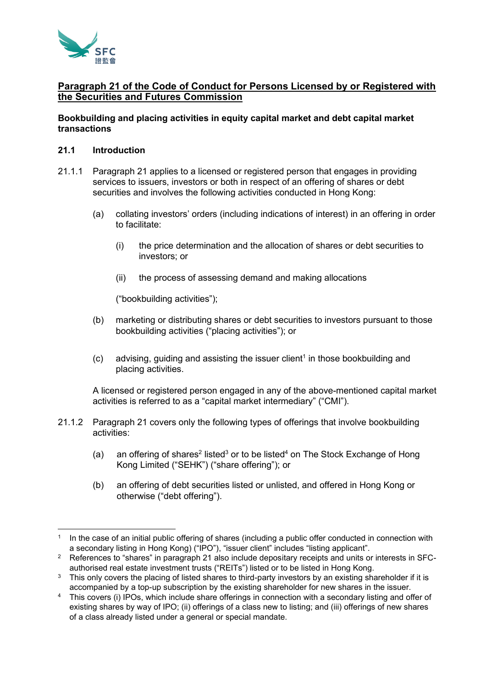

# **Paragraph 21 of the Code of Conduct for Persons Licensed by or Registered with the Securities and Futures Commission**

# **Bookbuilding and placing activities in equity capital market and debt capital market transactions**

### **21.1 Introduction**

- 21.1.1 Paragraph 21 applies to a licensed or registered person that engages in providing services to issuers, investors or both in respect of an offering of shares or debt securities and involves the following activities conducted in Hong Kong:
	- (a) collating investors' orders (including indications of interest) in an offering in order to facilitate:
		- (i) the price determination and the allocation of shares or debt securities to investors; or
		- (ii) the process of assessing demand and making allocations

("bookbuilding activities");

- (b) marketing or distributing shares or debt securities to investors pursuant to those bookbuilding activities ("placing activities"); or
- $(c)$  advising, guiding and assisting the issuer client<sup>1</sup> in those bookbuilding and placing activities.

A licensed or registered person engaged in any of the above-mentioned capital market activities is referred to as a "capital market intermediary" ("CMI").

- 21.1.2 Paragraph 21 covers only the following types of offerings that involve bookbuilding activities:
	- (a) an offering of shares<sup>2</sup> listed<sup>3</sup> or to be listed<sup>4</sup> on The Stock Exchange of Hong Kong Limited ("SEHK") ("share offering"); or
	- (b) an offering of debt securities listed or unlisted, and offered in Hong Kong or otherwise ("debt offering").

<sup>1</sup> In the case of an initial public offering of shares (including a public offer conducted in connection with a secondary listing in Hong Kong) ("IPO"), "issuer client" includes "listing applicant".

<sup>&</sup>lt;sup>2</sup> References to "shares" in paragraph 21 also include depositary receipts and units or interests in SFCauthorised real estate investment trusts ("REITs") listed or to be listed in Hong Kong.

 $3$  This only covers the placing of listed shares to third-party investors by an existing shareholder if it is accompanied by a top-up subscription by the existing shareholder for new shares in the issuer.

This covers (i) IPOs, which include share offerings in connection with a secondary listing and offer of existing shares by way of IPO; (ii) offerings of a class new to listing; and (iii) offerings of new shares of a class already listed under a general or special mandate.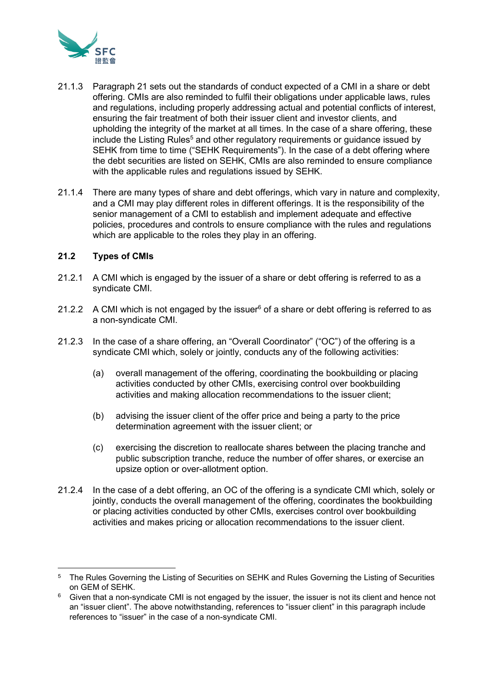

- 21.1.3 Paragraph 21 sets out the standards of conduct expected of a CMI in a share or debt offering. CMIs are also reminded to fulfil their obligations under applicable laws, rules and regulations, including properly addressing actual and potential conflicts of interest, ensuring the fair treatment of both their issuer client and investor clients, and upholding the integrity of the market at all times. In the case of a share offering, these include the Listing Rules<sup>5</sup> and other regulatory requirements or guidance issued by SEHK from time to time ("SEHK Requirements"). In the case of a debt offering where the debt securities are listed on SEHK, CMIs are also reminded to ensure compliance with the applicable rules and regulations issued by SEHK.
- 21.1.4 There are many types of share and debt offerings, which vary in nature and complexity, and a CMI may play different roles in different offerings. It is the responsibility of the senior management of a CMI to establish and implement adequate and effective policies, procedures and controls to ensure compliance with the rules and regulations which are applicable to the roles they play in an offering.

# **21.2 Types of CMIs**

- 21.2.1 A CMI which is engaged by the issuer of a share or debt offering is referred to as a syndicate CMI.
- 21.2.2 A CMI which is not engaged by the issuer $6$  of a share or debt offering is referred to as a non-syndicate CMI.
- 21.2.3 In the case of a share offering, an "Overall Coordinator" ("OC") of the offering is a syndicate CMI which, solely or jointly, conducts any of the following activities:
	- (a) overall management of the offering, coordinating the bookbuilding or placing activities conducted by other CMIs, exercising control over bookbuilding activities and making allocation recommendations to the issuer client;
	- (b) advising the issuer client of the offer price and being a party to the price determination agreement with the issuer client; or
	- (c) exercising the discretion to reallocate shares between the placing tranche and public subscription tranche, reduce the number of offer shares, or exercise an upsize option or over-allotment option.
- 21.2.4 In the case of a debt offering, an OC of the offering is a syndicate CMI which, solely or jointly, conducts the overall management of the offering, coordinates the bookbuilding or placing activities conducted by other CMIs, exercises control over bookbuilding activities and makes pricing or allocation recommendations to the issuer client.

<sup>&</sup>lt;sup>5</sup> The Rules Governing the Listing of Securities on SEHK and Rules Governing the Listing of Securities on GEM of SEHK.

 $6\degree$  Given that a non-syndicate CMI is not engaged by the issuer, the issuer is not its client and hence not an "issuer client". The above notwithstanding, references to "issuer client" in this paragraph include references to "issuer" in the case of a non-syndicate CMI.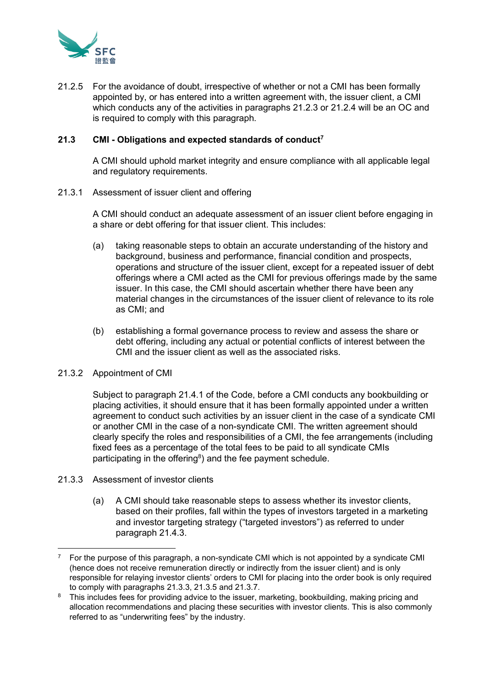

21.2.5 For the avoidance of doubt, irrespective of whether or not a CMI has been formally appointed by, or has entered into a written agreement with, the issuer client, a CMI which conducts any of the activities in paragraphs 21.2.3 or 21.2.4 will be an OC and is required to comply with this paragraph.

# **21.3 CMI - Obligations and expected standards of conduct<sup>7</sup>**

A CMI should uphold market integrity and ensure compliance with all applicable legal and regulatory requirements.

21.3.1 Assessment of issuer client and offering

A CMI should conduct an adequate assessment of an issuer client before engaging in a share or debt offering for that issuer client. This includes:

- (a) taking reasonable steps to obtain an accurate understanding of the history and background, business and performance, financial condition and prospects, operations and structure of the issuer client, except for a repeated issuer of debt offerings where a CMI acted as the CMI for previous offerings made by the same issuer. In this case, the CMI should ascertain whether there have been any material changes in the circumstances of the issuer client of relevance to its role as CMI; and
- (b) establishing a formal governance process to review and assess the share or debt offering, including any actual or potential conflicts of interest between the CMI and the issuer client as well as the associated risks.

# 21.3.2 Appointment of CMI

Subject to paragraph 21.4.1 of the Code, before a CMI conducts any bookbuilding or placing activities, it should ensure that it has been formally appointed under a written agreement to conduct such activities by an issuer client in the case of a syndicate CMI or another CMI in the case of a non-syndicate CMI. The written agreement should clearly specify the roles and responsibilities of a CMI, the fee arrangements (including fixed fees as a percentage of the total fees to be paid to all syndicate CMIs participating in the offering $8$ ) and the fee payment schedule.

- 21.3.3 Assessment of investor clients
	- (a) A CMI should take reasonable steps to assess whether its investor clients, based on their profiles, fall within the types of investors targeted in a marketing and investor targeting strategy ("targeted investors") as referred to under paragraph 21.4.3.

<sup>7</sup> For the purpose of this paragraph, a non-syndicate CMI which is not appointed by a syndicate CMI (hence does not receive remuneration directly or indirectly from the issuer client) and is only responsible for relaying investor clients' orders to CMI for placing into the order book is only required to comply with paragraphs 21.3.3, 21.3.5 and 21.3.7.

<sup>&</sup>lt;sup>8</sup> This includes fees for providing advice to the issuer, marketing, bookbuilding, making pricing and allocation recommendations and placing these securities with investor clients. This is also commonly referred to as "underwriting fees" by the industry.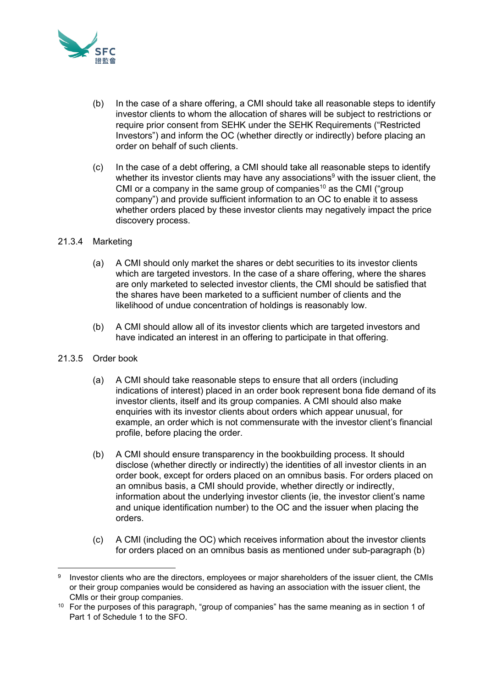

- (b) In the case of a share offering, a CMI should take all reasonable steps to identify investor clients to whom the allocation of shares will be subject to restrictions or require prior consent from SEHK under the SEHK Requirements ("Restricted Investors") and inform the OC (whether directly or indirectly) before placing an order on behalf of such clients.
- (c) In the case of a debt offering, a CMI should take all reasonable steps to identify whether its investor clients may have any associations<sup>9</sup> with the issuer client, the CMI or a company in the same group of companies<sup>10</sup> as the CMI ("group company") and provide sufficient information to an OC to enable it to assess whether orders placed by these investor clients may negatively impact the price discovery process.

# 21.3.4 Marketing

- (a) A CMI should only market the shares or debt securities to its investor clients which are targeted investors. In the case of a share offering, where the shares are only marketed to selected investor clients, the CMI should be satisfied that the shares have been marketed to a sufficient number of clients and the likelihood of undue concentration of holdings is reasonably low.
- (b) A CMI should allow all of its investor clients which are targeted investors and have indicated an interest in an offering to participate in that offering.
- 21.3.5 Order book
	- (a) A CMI should take reasonable steps to ensure that all orders (including indications of interest) placed in an order book represent bona fide demand of its investor clients, itself and its group companies. A CMI should also make enquiries with its investor clients about orders which appear unusual, for example, an order which is not commensurate with the investor client's financial profile, before placing the order.
	- (b) A CMI should ensure transparency in the bookbuilding process. It should disclose (whether directly or indirectly) the identities of all investor clients in an order book, except for orders placed on an omnibus basis. For orders placed on an omnibus basis, a CMI should provide, whether directly or indirectly, information about the underlying investor clients (ie, the investor client's name and unique identification number) to the OC and the issuer when placing the orders.
	- (c) A CMI (including the OC) which receives information about the investor clients for orders placed on an omnibus basis as mentioned under sub-paragraph (b)

<sup>9</sup> Investor clients who are the directors, employees or major shareholders of the issuer client, the CMIs or their group companies would be considered as having an association with the issuer client, the CMIs or their group companies.

<sup>&</sup>lt;sup>10</sup> For the purposes of this paragraph, "group of companies" has the same meaning as in section 1 of Part 1 of Schedule 1 to the SFO.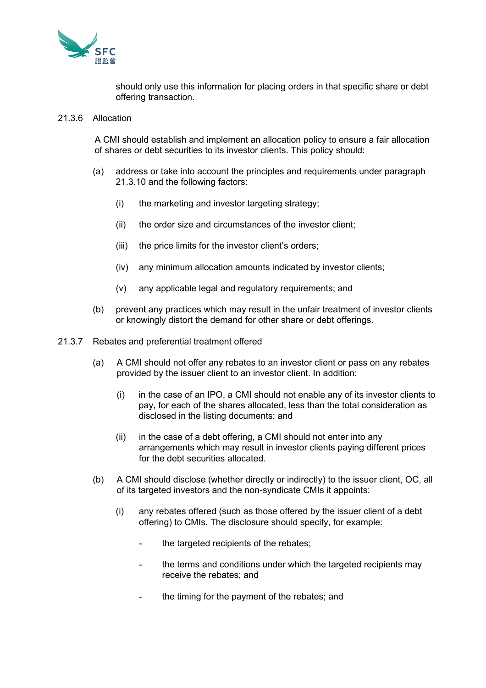

should only use this information for placing orders in that specific share or debt offering transaction.

#### 21.3.6 Allocation

A CMI should establish and implement an allocation policy to ensure a fair allocation of shares or debt securities to its investor clients. This policy should:

- (a) address or take into account the principles and requirements under paragraph 21.3.10 and the following factors:
	- (i) the marketing and investor targeting strategy;
	- (ii) the order size and circumstances of the investor client;
	- (iii) the price limits for the investor client's orders;
	- (iv) any minimum allocation amounts indicated by investor clients;
	- (v) any applicable legal and regulatory requirements; and
- (b) prevent any practices which may result in the unfair treatment of investor clients or knowingly distort the demand for other share or debt offerings.
- 21.3.7 Rebates and preferential treatment offered
	- (a) A CMI should not offer any rebates to an investor client or pass on any rebates provided by the issuer client to an investor client. In addition:
		- (i) in the case of an IPO, a CMI should not enable any of its investor clients to pay, for each of the shares allocated, less than the total consideration as disclosed in the listing documents; and
		- (ii) in the case of a debt offering, a CMI should not enter into any arrangements which may result in investor clients paying different prices for the debt securities allocated.
	- (b) A CMI should disclose (whether directly or indirectly) to the issuer client, OC, all of its targeted investors and the non-syndicate CMIs it appoints:
		- (i) any rebates offered (such as those offered by the issuer client of a debt offering) to CMIs. The disclosure should specify, for example:
			- the targeted recipients of the rebates;
			- the terms and conditions under which the targeted recipients may receive the rebates; and
			- the timing for the payment of the rebates; and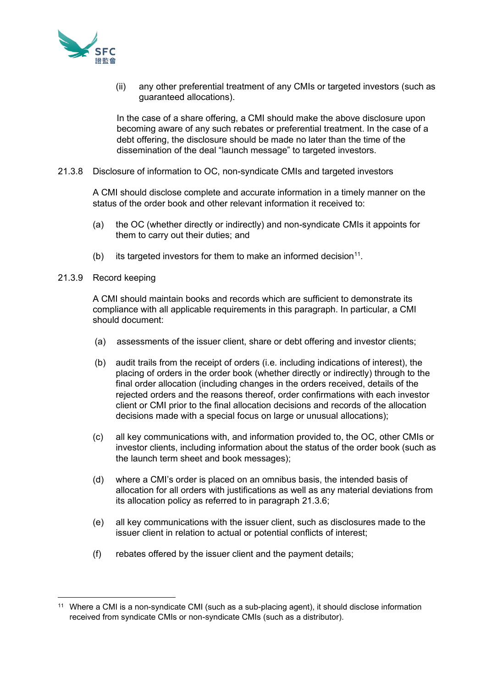

(ii) any other preferential treatment of any CMIs or targeted investors (such as guaranteed allocations).

In the case of a share offering, a CMI should make the above disclosure upon becoming aware of any such rebates or preferential treatment. In the case of a debt offering, the disclosure should be made no later than the time of the dissemination of the deal "launch message" to targeted investors.

21.3.8 Disclosure of information to OC, non-syndicate CMIs and targeted investors

A CMI should disclose complete and accurate information in a timely manner on the status of the order book and other relevant information it received to:

- (a) the OC (whether directly or indirectly) and non-syndicate CMIs it appoints for them to carry out their duties; and
- (b) its targeted investors for them to make an informed decision<sup>11</sup>.
- 21.3.9 Record keeping

A CMI should maintain books and records which are sufficient to demonstrate its compliance with all applicable requirements in this paragraph. In particular, a CMI should document:

- (a) assessments of the issuer client, share or debt offering and investor clients;
- (b) audit trails from the receipt of orders (i.e. including indications of interest), the placing of orders in the order book (whether directly or indirectly) through to the final order allocation (including changes in the orders received, details of the rejected orders and the reasons thereof, order confirmations with each investor client or CMI prior to the final allocation decisions and records of the allocation decisions made with a special focus on large or unusual allocations);
- (c) all key communications with, and information provided to, the OC, other CMIs or investor clients, including information about the status of the order book (such as the launch term sheet and book messages);
- (d) where a CMI's order is placed on an omnibus basis, the intended basis of allocation for all orders with justifications as well as any material deviations from its allocation policy as referred to in paragraph 21.3.6;
- (e) all key communications with the issuer client, such as disclosures made to the issuer client in relation to actual or potential conflicts of interest;
- (f) rebates offered by the issuer client and the payment details;

<sup>11</sup> Where a CMI is a non-syndicate CMI (such as a sub-placing agent), it should disclose information received from syndicate CMIs or non-syndicate CMIs (such as a distributor).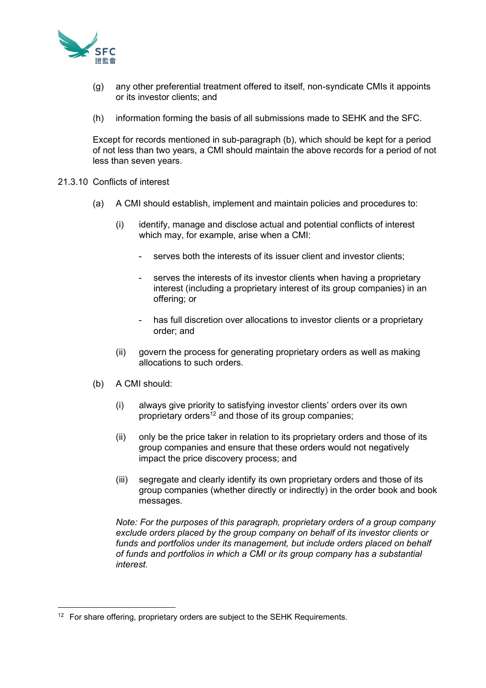

- (g) any other preferential treatment offered to itself, non-syndicate CMIs it appoints or its investor clients; and
- (h) information forming the basis of all submissions made to SEHK and the SFC.

Except for records mentioned in sub-paragraph (b), which should be kept for a period of not less than two years, a CMI should maintain the above records for a period of not less than seven years.

- 21.3.10 Conflicts of interest
	- (a) A CMI should establish, implement and maintain policies and procedures to:
		- (i) identify, manage and disclose actual and potential conflicts of interest which may, for example, arise when a CMI:
			- serves both the interests of its issuer client and investor clients;
			- serves the interests of its investor clients when having a proprietary interest (including a proprietary interest of its group companies) in an offering; or
			- has full discretion over allocations to investor clients or a proprietary order; and
		- (ii) govern the process for generating proprietary orders as well as making allocations to such orders.
	- (b) A CMI should:
		- (i) always give priority to satisfying investor clients' orders over its own proprietary orders<sup>12</sup> and those of its group companies;
		- (ii) only be the price taker in relation to its proprietary orders and those of its group companies and ensure that these orders would not negatively impact the price discovery process; and
		- (iii) segregate and clearly identify its own proprietary orders and those of its group companies (whether directly or indirectly) in the order book and book messages.

*Note: For the purposes of this paragraph, proprietary orders of a group company exclude orders placed by the group company on behalf of its investor clients or funds and portfolios under its management, but include orders placed on behalf of funds and portfolios in which a CMI or its group company has a substantial interest.*

<sup>&</sup>lt;sup>12</sup> For share offering, proprietary orders are subject to the SEHK Requirements.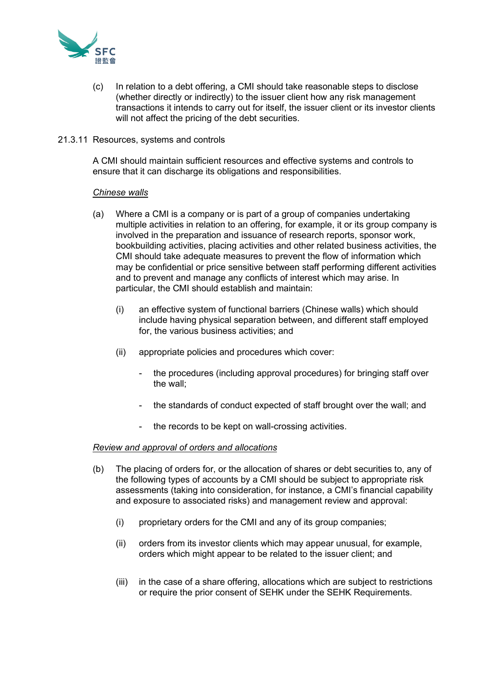

- (c) In relation to a debt offering, a CMI should take reasonable steps to disclose (whether directly or indirectly) to the issuer client how any risk management transactions it intends to carry out for itself, the issuer client or its investor clients will not affect the pricing of the debt securities.
- 21.3.11 Resources, systems and controls

A CMI should maintain sufficient resources and effective systems and controls to ensure that it can discharge its obligations and responsibilities.

#### *Chinese walls*

- (a) Where a CMI is a company or is part of a group of companies undertaking multiple activities in relation to an offering, for example, it or its group company is involved in the preparation and issuance of research reports, sponsor work, bookbuilding activities, placing activities and other related business activities, the CMI should take adequate measures to prevent the flow of information which may be confidential or price sensitive between staff performing different activities and to prevent and manage any conflicts of interest which may arise. In particular, the CMI should establish and maintain:
	- (i) an effective system of functional barriers (Chinese walls) which should include having physical separation between, and different staff employed for, the various business activities; and
	- (ii) appropriate policies and procedures which cover:
		- the procedures (including approval procedures) for bringing staff over the wall;
		- the standards of conduct expected of staff brought over the wall; and
		- the records to be kept on wall-crossing activities.

#### *Review and approval of orders and allocations*

- (b) The placing of orders for, or the allocation of shares or debt securities to, any of the following types of accounts by a CMI should be subject to appropriate risk assessments (taking into consideration, for instance, a CMI's financial capability and exposure to associated risks) and management review and approval:
	- (i) proprietary orders for the CMI and any of its group companies;
	- (ii) orders from its investor clients which may appear unusual, for example, orders which might appear to be related to the issuer client; and
	- (iii) in the case of a share offering, allocations which are subject to restrictions or require the prior consent of SEHK under the SEHK Requirements.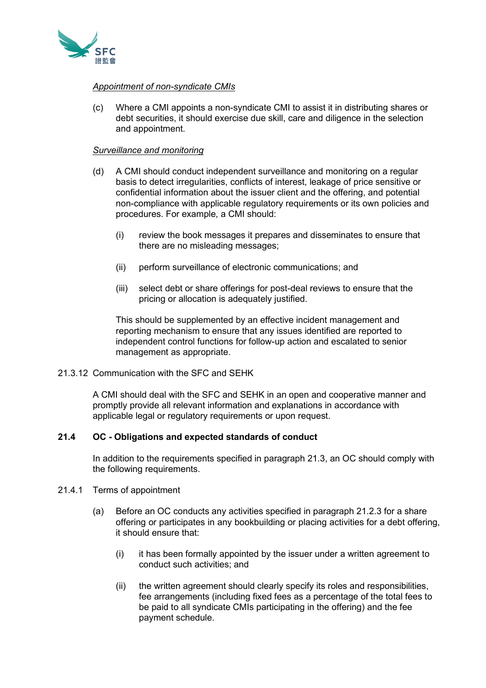

# *Appointment of non-syndicate CMIs*

(c) Where a CMI appoints a non-syndicate CMI to assist it in distributing shares or debt securities, it should exercise due skill, care and diligence in the selection and appointment.

# *Surveillance and monitoring*

- (d) A CMI should conduct independent surveillance and monitoring on a regular basis to detect irregularities, conflicts of interest, leakage of price sensitive or confidential information about the issuer client and the offering, and potential non-compliance with applicable regulatory requirements or its own policies and procedures. For example, a CMI should:
	- (i) review the book messages it prepares and disseminates to ensure that there are no misleading messages;
	- (ii) perform surveillance of electronic communications; and
	- (iii) select debt or share offerings for post-deal reviews to ensure that the pricing or allocation is adequately justified.

This should be supplemented by an effective incident management and reporting mechanism to ensure that any issues identified are reported to independent control functions for follow-up action and escalated to senior management as appropriate.

21.3.12 Communication with the SFC and SEHK

A CMI should deal with the SFC and SEHK in an open and cooperative manner and promptly provide all relevant information and explanations in accordance with applicable legal or regulatory requirements or upon request.

# **21.4 OC - Obligations and expected standards of conduct**

In addition to the requirements specified in paragraph 21.3, an OC should comply with the following requirements.

- 21.4.1 Terms of appointment
	- (a) Before an OC conducts any activities specified in paragraph 21.2.3 for a share offering or participates in any bookbuilding or placing activities for a debt offering, it should ensure that:
		- (i) it has been formally appointed by the issuer under a written agreement to conduct such activities; and
		- (ii) the written agreement should clearly specify its roles and responsibilities, fee arrangements (including fixed fees as a percentage of the total fees to be paid to all syndicate CMIs participating in the offering) and the fee payment schedule.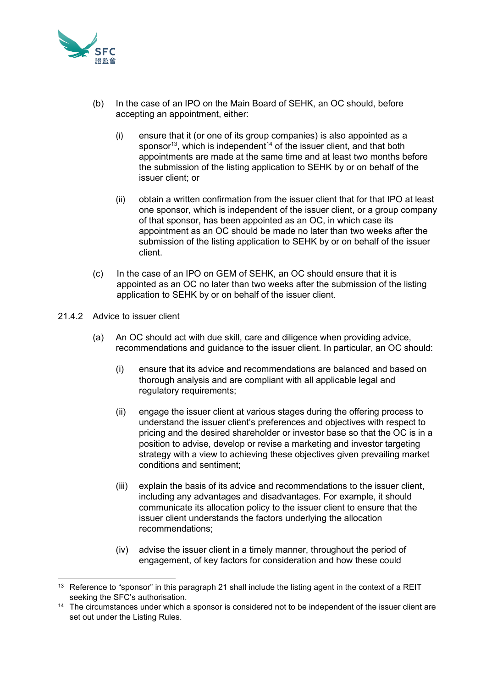

- (b) In the case of an IPO on the Main Board of SEHK, an OC should, before accepting an appointment, either:
	- (i) ensure that it (or one of its group companies) is also appointed as a sponsor<sup>13</sup>, which is independent<sup>14</sup> of the issuer client, and that both appointments are made at the same time and at least two months before the submission of the listing application to SEHK by or on behalf of the issuer client; or
	- (ii) obtain a written confirmation from the issuer client that for that IPO at least one sponsor, which is independent of the issuer client, or a group company of that sponsor, has been appointed as an OC, in which case its appointment as an OC should be made no later than two weeks after the submission of the listing application to SEHK by or on behalf of the issuer client.
- (c) In the case of an IPO on GEM of SEHK, an OC should ensure that it is appointed as an OC no later than two weeks after the submission of the listing application to SEHK by or on behalf of the issuer client.
- 21.4.2 Advice to issuer client
	- (a) An OC should act with due skill, care and diligence when providing advice, recommendations and guidance to the issuer client. In particular, an OC should:
		- (i) ensure that its advice and recommendations are balanced and based on thorough analysis and are compliant with all applicable legal and regulatory requirements;
		- (ii) engage the issuer client at various stages during the offering process to understand the issuer client's preferences and objectives with respect to pricing and the desired shareholder or investor base so that the OC is in a position to advise, develop or revise a marketing and investor targeting strategy with a view to achieving these objectives given prevailing market conditions and sentiment;
		- (iii) explain the basis of its advice and recommendations to the issuer client, including any advantages and disadvantages. For example, it should communicate its allocation policy to the issuer client to ensure that the issuer client understands the factors underlying the allocation recommendations;
		- (iv) advise the issuer client in a timely manner, throughout the period of engagement, of key factors for consideration and how these could

<sup>&</sup>lt;sup>13</sup> Reference to "sponsor" in this paragraph 21 shall include the listing agent in the context of a REIT seeking the SFC's authorisation.

<sup>&</sup>lt;sup>14</sup> The circumstances under which a sponsor is considered not to be independent of the issuer client are set out under the Listing Rules.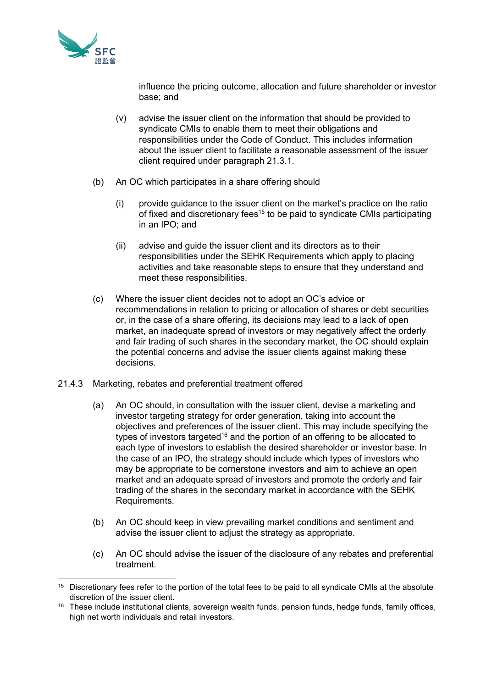

influence the pricing outcome, allocation and future shareholder or investor base; and

- (v) advise the issuer client on the information that should be provided to syndicate CMIs to enable them to meet their obligations and responsibilities under the Code of Conduct. This includes information about the issuer client to facilitate a reasonable assessment of the issuer client required under paragraph 21.3.1.
- (b) An OC which participates in a share offering should
	- (i) provide guidance to the issuer client on the market's practice on the ratio of fixed and discretionary fees<sup>15</sup> to be paid to syndicate CMIs participating in an IPO; and
	- (ii) advise and guide the issuer client and its directors as to their responsibilities under the SEHK Requirements which apply to placing activities and take reasonable steps to ensure that they understand and meet these responsibilities.
- (c) Where the issuer client decides not to adopt an OC's advice or recommendations in relation to pricing or allocation of shares or debt securities or, in the case of a share offering, its decisions may lead to a lack of open market, an inadequate spread of investors or may negatively affect the orderly and fair trading of such shares in the secondary market, the OC should explain the potential concerns and advise the issuer clients against making these decisions.
- 21.4.3 Marketing, rebates and preferential treatment offered
	- (a) An OC should, in consultation with the issuer client, devise a marketing and investor targeting strategy for order generation, taking into account the objectives and preferences of the issuer client. This may include specifying the types of investors targeted<sup>16</sup> and the portion of an offering to be allocated to each type of investors to establish the desired shareholder or investor base. In the case of an IPO, the strategy should include which types of investors who may be appropriate to be cornerstone investors and aim to achieve an open market and an adequate spread of investors and promote the orderly and fair trading of the shares in the secondary market in accordance with the SEHK Requirements.
	- (b) An OC should keep in view prevailing market conditions and sentiment and advise the issuer client to adjust the strategy as appropriate.
	- (c) An OC should advise the issuer of the disclosure of any rebates and preferential treatment.

<sup>&</sup>lt;sup>15</sup> Discretionary fees refer to the portion of the total fees to be paid to all syndicate CMIs at the absolute discretion of the issuer client.

<sup>&</sup>lt;sup>16</sup> These include institutional clients, sovereign wealth funds, pension funds, hedge funds, family offices, high net worth individuals and retail investors.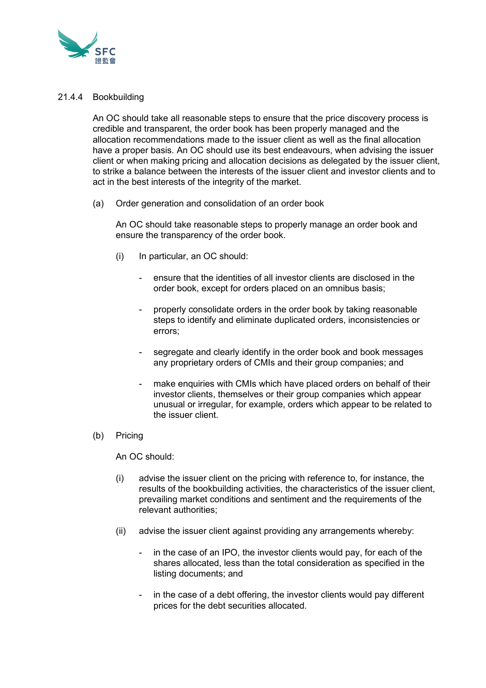

# 21.4.4 Bookbuilding

An OC should take all reasonable steps to ensure that the price discovery process is credible and transparent, the order book has been properly managed and the allocation recommendations made to the issuer client as well as the final allocation have a proper basis. An OC should use its best endeavours, when advising the issuer client or when making pricing and allocation decisions as delegated by the issuer client, to strike a balance between the interests of the issuer client and investor clients and to act in the best interests of the integrity of the market.

(a) Order generation and consolidation of an order book

An OC should take reasonable steps to properly manage an order book and ensure the transparency of the order book.

- (i) In particular, an OC should:
	- ensure that the identities of all investor clients are disclosed in the order book, except for orders placed on an omnibus basis;
	- properly consolidate orders in the order book by taking reasonable steps to identify and eliminate duplicated orders, inconsistencies or errors;
	- segregate and clearly identify in the order book and book messages any proprietary orders of CMIs and their group companies; and
	- make enquiries with CMIs which have placed orders on behalf of their investor clients, themselves or their group companies which appear unusual or irregular, for example, orders which appear to be related to the issuer client.
- (b) Pricing

An OC should:

- (i) advise the issuer client on the pricing with reference to, for instance, the results of the bookbuilding activities, the characteristics of the issuer client, prevailing market conditions and sentiment and the requirements of the relevant authorities;
- (ii) advise the issuer client against providing any arrangements whereby:
	- in the case of an IPO, the investor clients would pay, for each of the shares allocated, less than the total consideration as specified in the listing documents; and
	- in the case of a debt offering, the investor clients would pay different prices for the debt securities allocated.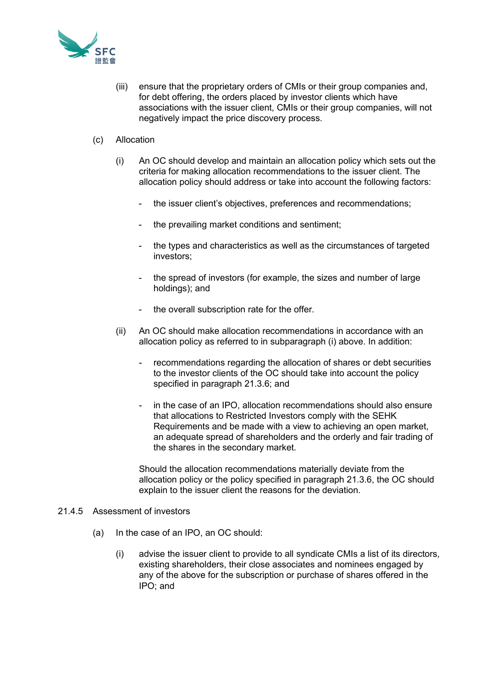

- (iii) ensure that the proprietary orders of CMIs or their group companies and, for debt offering, the orders placed by investor clients which have associations with the issuer client, CMIs or their group companies, will not negatively impact the price discovery process.
- (c) Allocation
	- (i) An OC should develop and maintain an allocation policy which sets out the criteria for making allocation recommendations to the issuer client. The allocation policy should address or take into account the following factors:
		- the issuer client's objectives, preferences and recommendations;
		- the prevailing market conditions and sentiment;
		- the types and characteristics as well as the circumstances of targeted investors;
		- the spread of investors (for example, the sizes and number of large holdings); and
		- the overall subscription rate for the offer.
	- (ii) An OC should make allocation recommendations in accordance with an allocation policy as referred to in subparagraph (i) above. In addition:
		- recommendations regarding the allocation of shares or debt securities to the investor clients of the OC should take into account the policy specified in paragraph 21.3.6; and
		- in the case of an IPO, allocation recommendations should also ensure that allocations to Restricted Investors comply with the SEHK Requirements and be made with a view to achieving an open market, an adequate spread of shareholders and the orderly and fair trading of the shares in the secondary market.

Should the allocation recommendations materially deviate from the allocation policy or the policy specified in paragraph 21.3.6, the OC should explain to the issuer client the reasons for the deviation.

#### 21.4.5 Assessment of investors

- (a) In the case of an IPO, an OC should:
	- (i) advise the issuer client to provide to all syndicate CMIs a list of its directors, existing shareholders, their close associates and nominees engaged by any of the above for the subscription or purchase of shares offered in the IPO; and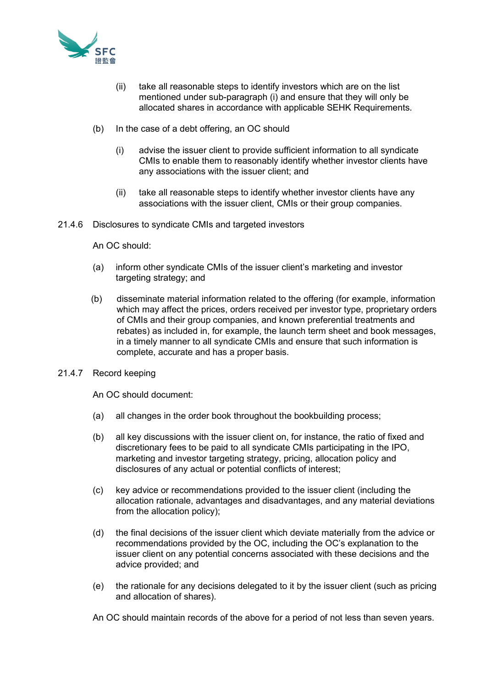

- (ii) take all reasonable steps to identify investors which are on the list mentioned under sub-paragraph (i) and ensure that they will only be allocated shares in accordance with applicable SEHK Requirements.
- (b) In the case of a debt offering, an OC should
	- (i) advise the issuer client to provide sufficient information to all syndicate CMIs to enable them to reasonably identify whether investor clients have any associations with the issuer client; and
	- (ii) take all reasonable steps to identify whether investor clients have any associations with the issuer client, CMIs or their group companies.
- 21.4.6 Disclosures to syndicate CMIs and targeted investors

An OC should:

- (a) inform other syndicate CMIs of the issuer client's marketing and investor targeting strategy; and
- (b) disseminate material information related to the offering (for example, information which may affect the prices, orders received per investor type, proprietary orders of CMIs and their group companies, and known preferential treatments and rebates) as included in, for example, the launch term sheet and book messages, in a timely manner to all syndicate CMIs and ensure that such information is complete, accurate and has a proper basis.
- 21.4.7 Record keeping

An OC should document:

- (a) all changes in the order book throughout the bookbuilding process;
- (b) all key discussions with the issuer client on, for instance, the ratio of fixed and discretionary fees to be paid to all syndicate CMIs participating in the IPO, marketing and investor targeting strategy, pricing, allocation policy and disclosures of any actual or potential conflicts of interest;
- (c) key advice or recommendations provided to the issuer client (including the allocation rationale, advantages and disadvantages, and any material deviations from the allocation policy);
- (d) the final decisions of the issuer client which deviate materially from the advice or recommendations provided by the OC, including the OC's explanation to the issuer client on any potential concerns associated with these decisions and the advice provided; and
- (e) the rationale for any decisions delegated to it by the issuer client (such as pricing and allocation of shares).

An OC should maintain records of the above for a period of not less than seven years.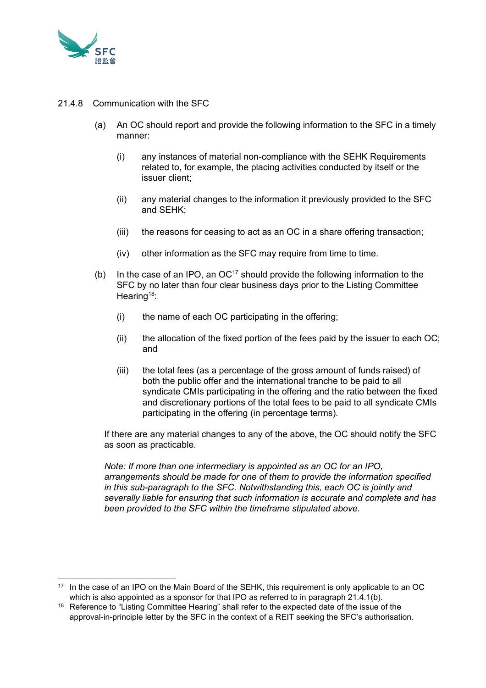

- 21.4.8 Communication with the SFC
	- (a) An OC should report and provide the following information to the SFC in a timely manner:
		- (i) any instances of material non-compliance with the SEHK Requirements related to, for example, the placing activities conducted by itself or the issuer client;
		- (ii) any material changes to the information it previously provided to the SFC and SEHK;
		- (iii) the reasons for ceasing to act as an OC in a share offering transaction;
		- (iv) other information as the SFC may require from time to time.
	- (b) In the case of an IPO, an  $OC^{17}$  should provide the following information to the SFC by no later than four clear business days prior to the Listing Committee Hearing<sup>18</sup>:
		- (i) the name of each OC participating in the offering;
		- (ii) the allocation of the fixed portion of the fees paid by the issuer to each OC; and
		- (iii) the total fees (as a percentage of the gross amount of funds raised) of both the public offer and the international tranche to be paid to all syndicate CMIs participating in the offering and the ratio between the fixed and discretionary portions of the total fees to be paid to all syndicate CMIs participating in the offering (in percentage terms).

If there are any material changes to any of the above, the OC should notify the SFC as soon as practicable.

*Note: If more than one intermediary is appointed as an OC for an IPO, arrangements should be made for one of them to provide the information specified in this sub-paragraph to the SFC. Notwithstanding this, each OC is jointly and severally liable for ensuring that such information is accurate and complete and has been provided to the SFC within the timeframe stipulated above.*

<sup>&</sup>lt;sup>17</sup> In the case of an IPO on the Main Board of the SEHK, this requirement is only applicable to an OC which is also appointed as a sponsor for that IPO as referred to in paragraph 21.4.1(b).

<sup>&</sup>lt;sup>18</sup> Reference to "Listing Committee Hearing" shall refer to the expected date of the issue of the approval-in-principle letter by the SFC in the context of a REIT seeking the SFC's authorisation.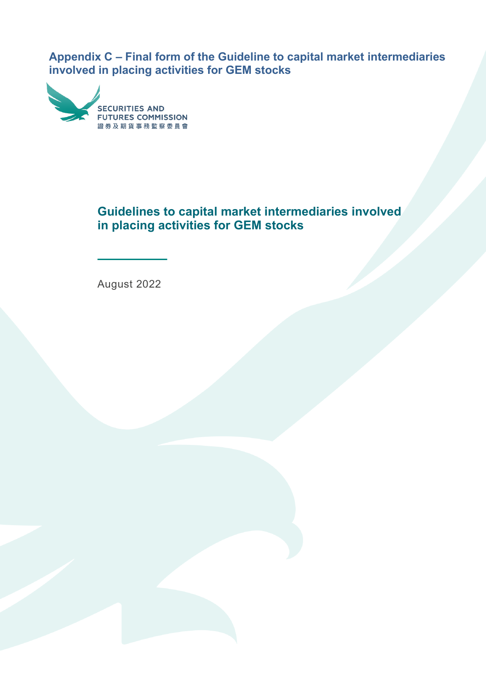**Appendix C – Final form of the Guideline to capital market intermediaries involved in placing activities for GEM stocks**



# **Guidelines to capital market intermediaries involved in placing activities for GEM stocks**

August 2022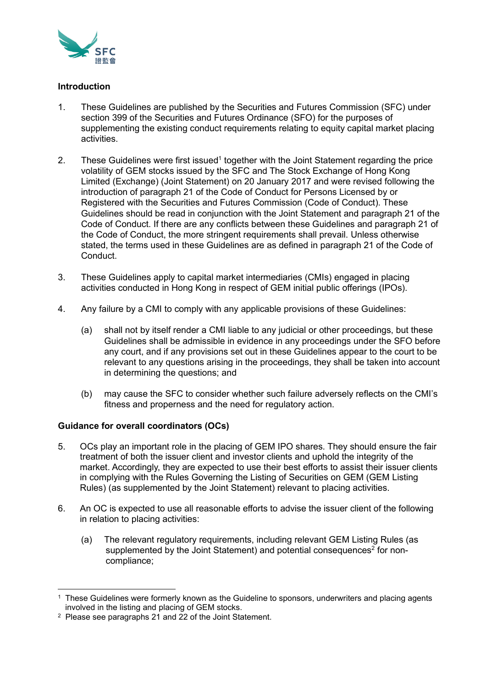

# **Introduction**

- 1. These Guidelines are published by the Securities and Futures Commission (SFC) under section 399 of the Securities and Futures Ordinance (SFO) for the purposes of supplementing the existing conduct requirements relating to equity capital market placing activities.
- 2. These Guidelines were first issued<sup>1</sup> together with the Joint Statement regarding the price volatility of GEM stocks issued by the SFC and The Stock Exchange of Hong Kong Limited (Exchange) (Joint Statement) on 20 January 2017 and were revised following the introduction of paragraph 21 of the Code of Conduct for Persons Licensed by or Registered with the Securities and Futures Commission (Code of Conduct). These Guidelines should be read in conjunction with the Joint Statement and paragraph 21 of the Code of Conduct. If there are any conflicts between these Guidelines and paragraph 21 of the Code of Conduct, the more stringent requirements shall prevail. Unless otherwise stated, the terms used in these Guidelines are as defined in paragraph 21 of the Code of Conduct.
- 3. These Guidelines apply to capital market intermediaries (CMIs) engaged in placing activities conducted in Hong Kong in respect of GEM initial public offerings (IPOs).
- 4. Any failure by a CMI to comply with any applicable provisions of these Guidelines:
	- (a) shall not by itself render a CMI liable to any judicial or other proceedings, but these Guidelines shall be admissible in evidence in any proceedings under the SFO before any court, and if any provisions set out in these Guidelines appear to the court to be relevant to any questions arising in the proceedings, they shall be taken into account in determining the questions; and
	- (b) may cause the SFC to consider whether such failure adversely reflects on the CMI's fitness and properness and the need for regulatory action.

# **Guidance for overall coordinators (OCs)**

- 5. OCs play an important role in the placing of GEM IPO shares. They should ensure the fair treatment of both the issuer client and investor clients and uphold the integrity of the market. Accordingly, they are expected to use their best efforts to assist their issuer clients in complying with the Rules Governing the Listing of Securities on GEM (GEM Listing Rules) (as supplemented by the Joint Statement) relevant to placing activities.
- 6. An OC is expected to use all reasonable efforts to advise the issuer client of the following in relation to placing activities:
	- (a) The relevant regulatory requirements, including relevant GEM Listing Rules (as supplemented by the Joint Statement) and potential consequences<sup>2</sup> for noncompliance;

 $1$  These Guidelines were formerly known as the Guideline to sponsors, underwriters and placing agents involved in the listing and placing of GEM stocks.

<sup>2</sup> Please see paragraphs 21 and 22 of the Joint Statement.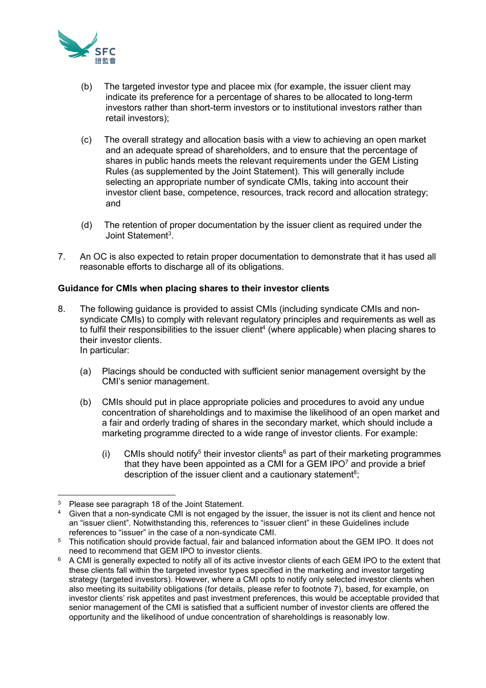

- (b) The targeted investor type and placee mix (for example, the issuer client may indicate its preference for a percentage of shares to be allocated to long-term investors rather than short-term investors or to institutional investors rather than retail investors);
- (c) The overall strategy and allocation basis with a view to achieving an open market and an adequate spread of shareholders, and to ensure that the percentage of shares in public hands meets the relevant requirements under the GEM Listing Rules (as supplemented by the Joint Statement). This will generally include selecting an appropriate number of syndicate CMIs, taking into account their investor client base, competence, resources, track record and allocation strategy; and
- (d) The retention of proper documentation by the issuer client as required under the Joint Statement<sup>3</sup>.
- 7. An OC is also expected to retain proper documentation to demonstrate that it has used all reasonable efforts to discharge all of its obligations.

# **Guidance for CMIs when placing shares to their investor clients**

8. The following guidance is provided to assist CMIs (including syndicate CMIs and nonsyndicate CMIs) to comply with relevant regulatory principles and requirements as well as to fulfil their responsibilities to the issuer client $\!4}$  (where applicable) when placing shares to their investor clients. In particular:

(a) Placings should be conducted with sufficient senior management oversight by the CMI's senior management.

- (b) CMIs should put in place appropriate policies and procedures to avoid any undue concentration of shareholdings and to maximise the likelihood of an open market and a fair and orderly trading of shares in the secondary market, which should include a marketing programme directed to a wide range of investor clients. For example:
	- (i) CMIs should notify<sup>5</sup> their investor clients<sup>6</sup> as part of their marketing programmes that they have been appointed as a CMI for a GEM IPO $<sup>7</sup>$  and provide a brief</sup> description of the issuer client and a cautionary statement<sup>8</sup>;

<sup>&</sup>lt;sup>3</sup> Please see paragraph 18 of the Joint Statement.

<sup>4</sup> Given that a non-syndicate CMI is not engaged by the issuer, the issuer is not its client and hence not an "issuer client". Notwithstanding this, references to "issuer client" in these Guidelines include references to "issuer" in the case of a non-syndicate CMI.

<sup>5</sup> This notification should provide factual, fair and balanced information about the GEM IPO. It does not need to recommend that GEM IPO to investor clients.

<sup>6</sup> A CMI is generally expected to notify all of its active investor clients of each GEM IPO to the extent that these clients fall within the targeted investor types specified in the marketing and investor targeting strategy (targeted investors). However, where a CMI opts to notify only selected investor clients when also meeting its suitability obligations (for details, please refer to footnote 7), based, for example, on investor clients' risk appetites and past investment preferences, this would be acceptable provided that senior management of the CMI is satisfied that a sufficient number of investor clients are offered the opportunity and the likelihood of undue concentration of shareholdings is reasonably low.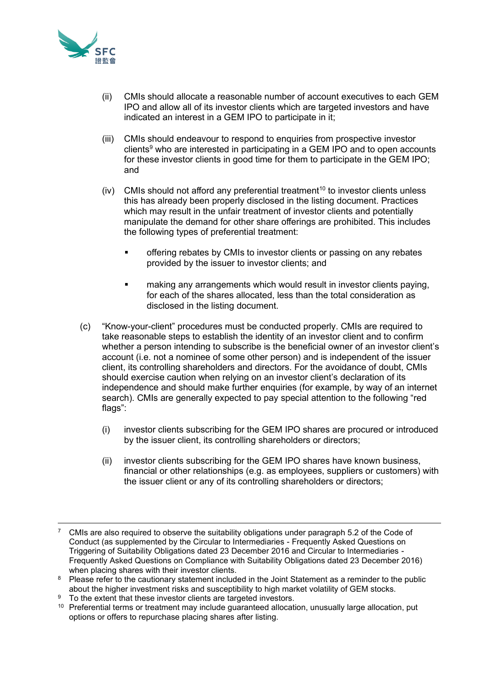

- (ii) CMIs should allocate a reasonable number of account executives to each GEM IPO and allow all of its investor clients which are targeted investors and have indicated an interest in a GEM IPO to participate in it;
- (iii) CMIs should endeavour to respond to enquiries from prospective investor clients $9$  who are interested in participating in a GEM IPO and to open accounts for these investor clients in good time for them to participate in the GEM IPO; and
- (iv) CMIs should not afford any preferential treatment<sup>10</sup> to investor clients unless this has already been properly disclosed in the listing document. Practices which may result in the unfair treatment of investor clients and potentially manipulate the demand for other share offerings are prohibited. This includes the following types of preferential treatment:
	- **■** offering rebates by CMIs to investor clients or passing on any rebates provided by the issuer to investor clients; and
	- making any arrangements which would result in investor clients paying, for each of the shares allocated, less than the total consideration as disclosed in the listing document.
- (c) "Know-your-client" procedures must be conducted properly. CMIs are required to take reasonable steps to establish the identity of an investor client and to confirm whether a person intending to subscribe is the beneficial owner of an investor client's account (i.e. not a nominee of some other person) and is independent of the issuer client, its controlling shareholders and directors. For the avoidance of doubt, CMIs should exercise caution when relying on an investor client's declaration of its independence and should make further enquiries (for example, by way of an internet search). CMIs are generally expected to pay special attention to the following "red flags":
	- (i) investor clients subscribing for the GEM IPO shares are procured or introduced by the issuer client, its controlling shareholders or directors;
	- (ii) investor clients subscribing for the GEM IPO shares have known business, financial or other relationships (e.g. as employees, suppliers or customers) with the issuer client or any of its controlling shareholders or directors;

<sup>9</sup> To the extent that these investor clients are targeted investors.

<sup>7</sup> CMIs are also required to observe the suitability obligations under paragraph 5.2 of the Code of Conduct (as supplemented by the Circular to Intermediaries - Frequently Asked Questions on Triggering of Suitability Obligations dated 23 December 2016 and Circular to Intermediaries - Frequently Asked Questions on Compliance with Suitability Obligations dated 23 December 2016) when placing shares with their investor clients.

<sup>&</sup>lt;sup>8</sup> Please refer to the cautionary statement included in the Joint Statement as a reminder to the public about the higher investment risks and susceptibility to high market volatility of GEM stocks.

<sup>&</sup>lt;sup>10</sup> Preferential terms or treatment may include guaranteed allocation, unusually large allocation, put options or offers to repurchase placing shares after listing.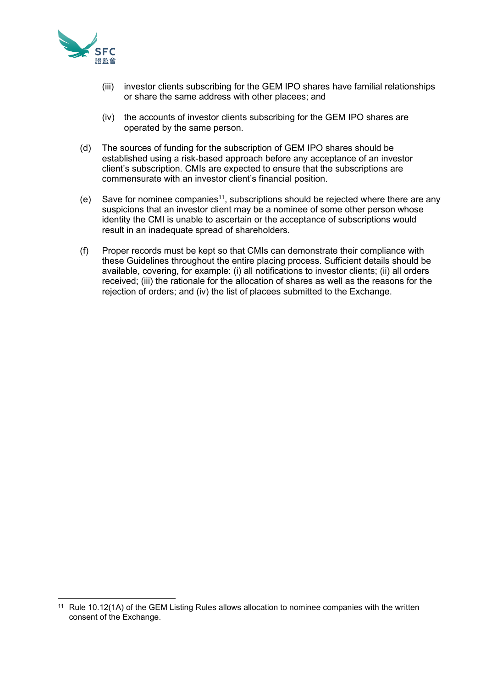

- (iii) investor clients subscribing for the GEM IPO shares have familial relationships or share the same address with other placees; and
- (iv) the accounts of investor clients subscribing for the GEM IPO shares are operated by the same person.
- (d) The sources of funding for the subscription of GEM IPO shares should be established using a risk-based approach before any acceptance of an investor client's subscription. CMIs are expected to ensure that the subscriptions are commensurate with an investor client's financial position.
- (e) Save for nominee companies<sup>11</sup>, subscriptions should be rejected where there are any suspicions that an investor client may be a nominee of some other person whose identity the CMI is unable to ascertain or the acceptance of subscriptions would result in an inadequate spread of shareholders.
- (f) Proper records must be kept so that CMIs can demonstrate their compliance with these Guidelines throughout the entire placing process. Sufficient details should be available, covering, for example: (i) all notifications to investor clients; (ii) all orders received; (iii) the rationale for the allocation of shares as well as the reasons for the rejection of orders; and (iv) the list of placees submitted to the Exchange.

<sup>&</sup>lt;sup>11</sup> Rule 10.12(1A) of the GEM Listing Rules allows allocation to nominee companies with the written consent of the Exchange.